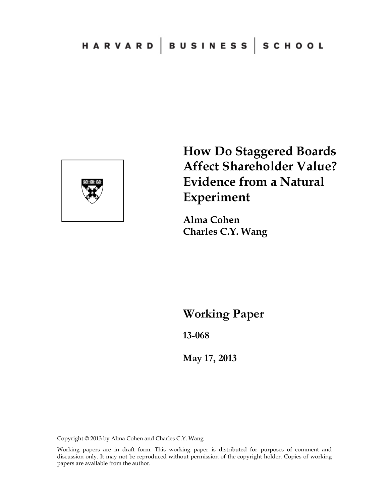

**How Do Staggered Boards Affect Shareholder Value? Evidence from a Natural Experiment** 

**Alma Cohen Charles C.Y. Wang** 

**Working Paper** 

**13-068** 

**May 17, 2013**

Copyright © 2013 by Alma Cohen and Charles C.Y. Wang

Working papers are in draft form. This working paper is distributed for purposes of comment and discussion only. It may not be reproduced without permission of the copyright holder. Copies of working papers are available from the author.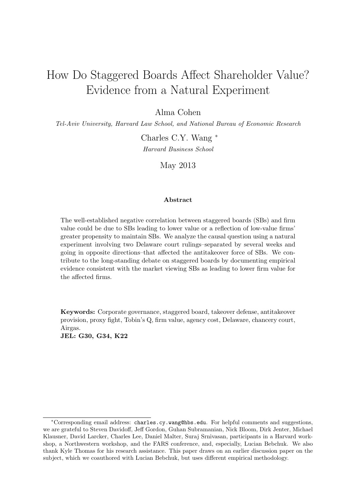# How Do Staggered Boards Affect Shareholder Value? Evidence from a Natural Experiment

Alma Cohen

Tel-Aviv University, Harvard Law School, and National Bureau of Economic Research

Charles C.Y. Wang <sup>∗</sup> Harvard Business School

May 2013

#### Abstract

The well-established negative correlation between staggered boards (SBs) and firm value could be due to SBs leading to lower value or a reflection of low-value firms' greater propensity to maintain SBs. We analyze the causal question using a natural experiment involving two Delaware court rulings–separated by several weeks and going in opposite directions–that affected the antitakeover force of SBs. We contribute to the long-standing debate on staggered boards by documenting empirical evidence consistent with the market viewing SBs as leading to lower firm value for the affected firms.

Keywords: Corporate governance, staggered board, takeover defense, antitakeover provision, proxy fight, Tobin's Q, firm value, agency cost, Delaware, chancery court, Airgas. JEL: G30, G34, K22

<sup>∗</sup>Corresponding email address: charles.cy.wang@hbs.edu. For helpful comments and suggestions, we are grateful to Steven Davidoff, Jeff Gordon, Guhan Subramanian, Nick Bloom, Dirk Jenter, Michael Klausner, David Larcker, Charles Lee, Daniel Malter, Suraj Srnivasan, participants in a Harvard workshop, a Northwestern workshop, and the FARS conference, and, especially, Lucian Bebchuk. We also thank Kyle Thomas for his research assistance. This paper draws on an earlier discussion paper on the subject, which we coauthored with Lucian Bebchuk, but uses different empirical methodology.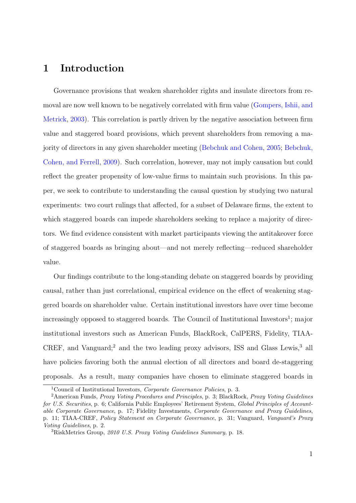# 1 Introduction

Governance provisions that weaken shareholder rights and insulate directors from removal are now well known to be negatively correlated with firm value [\(Gompers, Ishii, and](#page-33-0) [Metrick,](#page-33-0) [2003\)](#page-33-0). This correlation is partly driven by the negative association between firm value and staggered board provisions, which prevent shareholders from removing a majority of directors in any given shareholder meeting [\(Bebchuk and Cohen,](#page-32-0) [2005;](#page-32-0) [Bebchuk,](#page-32-1) [Cohen, and Ferrell,](#page-32-1) [2009\)](#page-32-1). Such correlation, however, may not imply causation but could reflect the greater propensity of low-value firms to maintain such provisions. In this paper, we seek to contribute to understanding the causal question by studying two natural experiments: two court rulings that affected, for a subset of Delaware firms, the extent to which staggered boards can impede shareholders seeking to replace a majority of directors. We find evidence consistent with market participants viewing the antitakeover force of staggered boards as bringing about—and not merely reflecting—reduced shareholder value.

Our findings contribute to the long-standing debate on staggered boards by providing causal, rather than just correlational, empirical evidence on the effect of weakening staggered boards on shareholder value. Certain institutional investors have over time become increasingly opposed to staggered boards. The Council of Institutional Investors<sup>1</sup>; major institutional investors such as American Funds, BlackRock, CalPERS, Fidelity, TIAA-CREF, and Vanguard;<sup>2</sup> and the two leading proxy advisors, ISS and Glass Lewis,<sup>3</sup> all have policies favoring both the annual election of all directors and board de-staggering proposals. As a result, many companies have chosen to eliminate staggered boards in

<sup>1</sup>Council of Institutional Investors, Corporate Governance Policies, p. 3.

<sup>&</sup>lt;sup>2</sup> American Funds, *Proxy Voting Procedures and Principles*, p. 3; BlackRock, *Proxy Voting Guidelines* for U.S. Securities, p. 6; California Public Employees' Retirement System, Global Principles of Accountable Corporate Governance, p. 17; Fidelity Investments, Corporate Governance and Proxy Guidelines, p. 11; TIAA-CREF, Policy Statement on Corporate Governance, p. 31; Vanguard, Vanguard's Proxy Voting Guidelines, p. 2.

 ${}^{3}$ RiskMetrics Group, 2010 U.S. Proxy Voting Guidelines Summary, p. 18.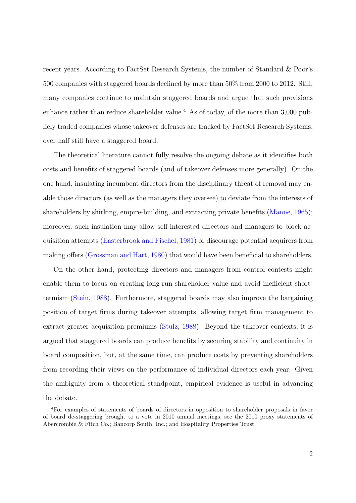recent years. According to FactSet Research Systems, the number of Standard & Poor's 500 companies with staggered boards declined by more than 50% from 2000 to 2012. Still, many companies continue to maintain staggered boards and argue that such provisions enhance rather than reduce shareholder value.<sup>4</sup> As of today, of the more than 3,000 publicly traded companies whose takeover defenses are tracked by FactSet Research Systems, over half still have a staggered board.

The theoretical literature cannot fully resolve the ongoing debate as it identifies both costs and benefits of staggered boards (and of takeover defenses more generally). On the one hand, insulating incumbent directors from the disciplinary threat of removal may enable those directors (as well as the managers they oversee) to deviate from the interests of shareholders by shirking, empire-building, and extracting private benefits [\(Manne,](#page-33-1) [1965\)](#page-33-1); moreover, such insulation may allow self-interested directors and managers to block acquisition attempts [\(Easterbrook and Fischel,](#page-33-2) [1981\)](#page-33-2) or discourage potential acquirers from making offers [\(Grossman and Hart,](#page-33-3) [1980\)](#page-33-3) that would have been beneficial to shareholders.

On the other hand, protecting directors and managers from control contests might enable them to focus on creating long-run shareholder value and avoid inefficient shorttermism [\(Stein,](#page-34-0) [1988\)](#page-34-0). Furthermore, staggered boards may also improve the bargaining position of target firms during takeover attempts, allowing target firm management to extract greater acquisition premiums [\(Stulz,](#page-34-1) [1988\)](#page-34-1). Beyond the takeover contexts, it is argued that staggered boards can produce benefits by securing stability and continuity in board composition, but, at the same time, can produce costs by preventing shareholders from recording their views on the performance of individual directors each year. Given the ambiguity from a theoretical standpoint, empirical evidence is useful in advancing the debate.

<sup>4</sup>For examples of statements of boards of directors in opposition to shareholder proposals in favor of board de-staggering brought to a vote in 2010 annual meetings, see the 2010 proxy statements of Abercrombie & Fitch Co.; Bancorp South, Inc.; and Hospitality Properties Trust.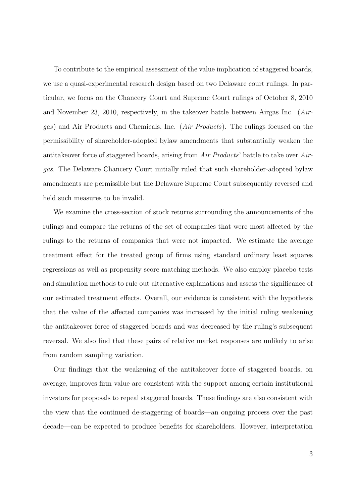To contribute to the empirical assessment of the value implication of staggered boards, we use a quasi-experimental research design based on two Delaware court rulings. In particular, we focus on the Chancery Court and Supreme Court rulings of October 8, 2010 and November 23, 2010, respectively, in the takeover battle between Airgas Inc. (Airgas) and Air Products and Chemicals, Inc. (Air Products). The rulings focused on the permissibility of shareholder-adopted bylaw amendments that substantially weaken the antitakeover force of staggered boards, arising from Air Products' battle to take over Airgas. The Delaware Chancery Court initially ruled that such shareholder-adopted bylaw amendments are permissible but the Delaware Supreme Court subsequently reversed and held such measures to be invalid.

We examine the cross-section of stock returns surrounding the announcements of the rulings and compare the returns of the set of companies that were most affected by the rulings to the returns of companies that were not impacted. We estimate the average treatment effect for the treated group of firms using standard ordinary least squares regressions as well as propensity score matching methods. We also employ placebo tests and simulation methods to rule out alternative explanations and assess the significance of our estimated treatment effects. Overall, our evidence is consistent with the hypothesis that the value of the affected companies was increased by the initial ruling weakening the antitakeover force of staggered boards and was decreased by the ruling's subsequent reversal. We also find that these pairs of relative market responses are unlikely to arise from random sampling variation.

Our findings that the weakening of the antitakeover force of staggered boards, on average, improves firm value are consistent with the support among certain institutional investors for proposals to repeal staggered boards. These findings are also consistent with the view that the continued de-staggering of boards—an ongoing process over the past decade—can be expected to produce benefits for shareholders. However, interpretation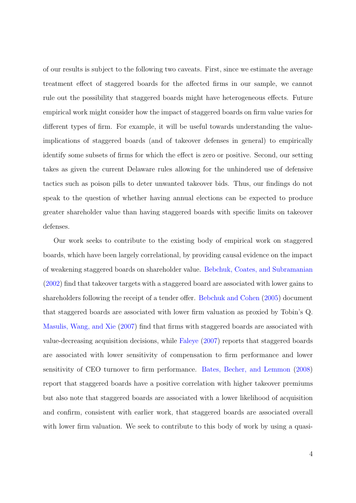of our results is subject to the following two caveats. First, since we estimate the average treatment effect of staggered boards for the affected firms in our sample, we cannot rule out the possibility that staggered boards might have heterogeneous effects. Future empirical work might consider how the impact of staggered boards on firm value varies for different types of firm. For example, it will be useful towards understanding the valueimplications of staggered boards (and of takeover defenses in general) to empirically identify some subsets of firms for which the effect is zero or positive. Second, our setting takes as given the current Delaware rules allowing for the unhindered use of defensive tactics such as poison pills to deter unwanted takeover bids. Thus, our findings do not speak to the question of whether having annual elections can be expected to produce greater shareholder value than having staggered boards with specific limits on takeover defenses.

Our work seeks to contribute to the existing body of empirical work on staggered boards, which have been largely correlational, by providing causal evidence on the impact of weakening staggered boards on shareholder value. [Bebchuk, Coates, and Subramanian](#page-32-2) [\(2002\)](#page-32-2) find that takeover targets with a staggered board are associated with lower gains to shareholders following the receipt of a tender offer. [Bebchuk and Cohen](#page-32-0) [\(2005\)](#page-32-0) document that staggered boards are associated with lower firm valuation as proxied by Tobin's Q. [Masulis, Wang, and Xie](#page-33-4) [\(2007\)](#page-33-4) find that firms with staggered boards are associated with value-decreasing acquisition decisions, while [Faleye](#page-33-5) [\(2007\)](#page-33-5) reports that staggered boards are associated with lower sensitivity of compensation to firm performance and lower sensitivity of CEO turnover to firm performance. [Bates, Becher, and Lemmon](#page-32-3) [\(2008\)](#page-32-3) report that staggered boards have a positive correlation with higher takeover premiums but also note that staggered boards are associated with a lower likelihood of acquisition and confirm, consistent with earlier work, that staggered boards are associated overall with lower firm valuation. We seek to contribute to this body of work by using a quasi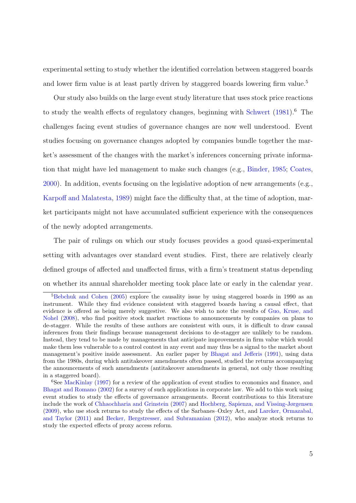experimental setting to study whether the identified correlation between staggered boards and lower firm value is at least partly driven by staggered boards lowering firm value.<sup>5</sup>

Our study also builds on the large event study literature that uses stock price reactions to study the wealth effects of regulatory changes, beginning with [Schwert](#page-34-2) [\(1981\)](#page-34-2).<sup>6</sup> The challenges facing event studies of governance changes are now well understood. Event studies focusing on governance changes adopted by companies bundle together the market's assessment of the changes with the market's inferences concerning private information that might have led management to make such changes (e.g., [Binder,](#page-32-4) [1985;](#page-32-4) [Coates,](#page-32-5) [2000\)](#page-32-5). In addition, events focusing on the legislative adoption of new arrangements (e.g., [Karpoff and Malatesta,](#page-33-6) [1989\)](#page-33-6) might face the difficulty that, at the time of adoption, market participants might not have accumulated sufficient experience with the consequences of the newly adopted arrangements.

The pair of rulings on which our study focuses provides a good quasi-experimental setting with advantages over standard event studies. First, there are relatively clearly defined groups of affected and unaffected firms, with a firm's treatment status depending on whether its annual shareholder meeting took place late or early in the calendar year.

<sup>&</sup>lt;sup>5</sup>[Bebchuk and Cohen](#page-32-0) [\(2005\)](#page-32-0) explore the causality issue by using staggered boards in 1990 as an instrument. While they find evidence consistent with staggered boards having a causal effect, that evidence is offered as being merely suggestive. We also wish to note the results of [Guo, Kruse, and](#page-33-7) [Nohel](#page-33-7) [\(2008\)](#page-33-7), who find positive stock market reactions to announcements by companies on plans to de-stagger. While the results of these authors are consistent with ours, it is difficult to draw causal inferences from their findings because management decisions to de-stagger are unlikely to be random. Instead, they tend to be made by managements that anticipate improvements in firm value which would make them less vulnerable to a control contest in any event and may thus be a signal to the market about management's positive inside assessment. An earlier paper by [Bhagat and Jefferis](#page-32-6) [\(1991\)](#page-32-6), using data from the 1980s, during which antitakeover amendments often passed, studied the returns accompanying the announcements of such amendments (antitakeover amendments in general, not only those resulting in a staggered board).

<sup>&</sup>lt;sup>6</sup>See [MacKinlay](#page-33-8) [\(1997\)](#page-33-8) for a review of the application of event studies to economics and finance, and [Bhagat and Romano](#page-32-7) [\(2002\)](#page-32-7) for a survey of such applications in corporate law. We add to this work using event studies to study the effects of governance arrangements. Recent contributions to this literature include the work of [Chhaochharia and Grinstein](#page-32-8) [\(2007\)](#page-32-8) and [Hochberg, Sapienza, and Vissing-Jørgensen](#page-33-9) [\(2009\)](#page-33-9), who use stock returns to study the effects of the Sarbanes–Oxley Act, and [Larcker, Ormazabal,](#page-33-10) [and Taylor](#page-33-10) [\(2011\)](#page-33-10) and [Becker, Bergstresser, and Subramanian](#page-32-9) [\(2012\)](#page-32-9), who analyze stock returns to study the expected effects of proxy access reform.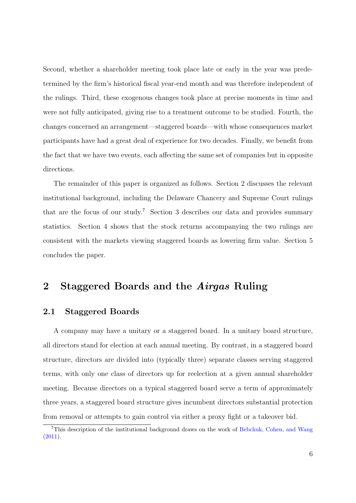Second, whether a shareholder meeting took place late or early in the year was predetermined by the firm's historical fiscal year-end month and was therefore independent of the rulings. Third, these exogenous changes took place at precise moments in time and were not fully anticipated, giving rise to a treatment outcome to be studied. Fourth, the changes concerned an arrangement—staggered boards—with whose consequences market participants have had a great deal of experience for two decades. Finally, we benefit from the fact that we have two events, each affecting the same set of companies but in opposite directions.

The remainder of this paper is organized as follows. Section 2 discusses the relevant institutional background, including the Delaware Chancery and Supreme Court rulings that are the focus of our study.<sup>7</sup> Section 3 describes our data and provides summary statistics. Section 4 shows that the stock returns accompanying the two rulings are consistent with the markets viewing staggered boards as lowering firm value. Section 5 concludes the paper.

# 2 Staggered Boards and the Airgas Ruling

## 2.1 Staggered Boards

A company may have a unitary or a staggered board. In a unitary board structure, all directors stand for election at each annual meeting. By contrast, in a staggered board structure, directors are divided into (typically three) separate classes serving staggered terms, with only one class of directors up for reelection at a given annual shareholder meeting. Because directors on a typical staggered board serve a term of approximately three years, a staggered board structure gives incumbent directors substantial protection from removal or attempts to gain control via either a proxy fight or a takeover bid.

<sup>7</sup>This description of the institutional background draws on the work of [Bebchuk, Cohen, and Wang](#page-32-10) [\(2011\)](#page-32-10).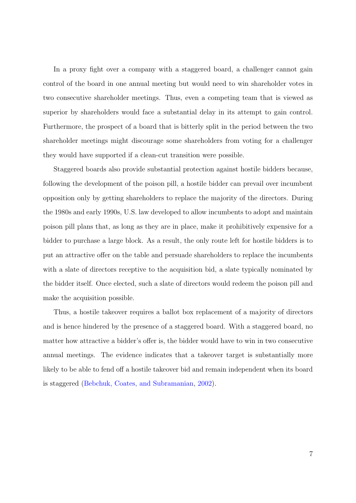In a proxy fight over a company with a staggered board, a challenger cannot gain control of the board in one annual meeting but would need to win shareholder votes in two consecutive shareholder meetings. Thus, even a competing team that is viewed as superior by shareholders would face a substantial delay in its attempt to gain control. Furthermore, the prospect of a board that is bitterly split in the period between the two shareholder meetings might discourage some shareholders from voting for a challenger they would have supported if a clean-cut transition were possible.

Staggered boards also provide substantial protection against hostile bidders because, following the development of the poison pill, a hostile bidder can prevail over incumbent opposition only by getting shareholders to replace the majority of the directors. During the 1980s and early 1990s, U.S. law developed to allow incumbents to adopt and maintain poison pill plans that, as long as they are in place, make it prohibitively expensive for a bidder to purchase a large block. As a result, the only route left for hostile bidders is to put an attractive offer on the table and persuade shareholders to replace the incumbents with a slate of directors receptive to the acquisition bid, a slate typically nominated by the bidder itself. Once elected, such a slate of directors would redeem the poison pill and make the acquisition possible.

Thus, a hostile takeover requires a ballot box replacement of a majority of directors and is hence hindered by the presence of a staggered board. With a staggered board, no matter how attractive a bidder's offer is, the bidder would have to win in two consecutive annual meetings. The evidence indicates that a takeover target is substantially more likely to be able to fend off a hostile takeover bid and remain independent when its board is staggered [\(Bebchuk, Coates, and Subramanian,](#page-32-2) [2002\)](#page-32-2).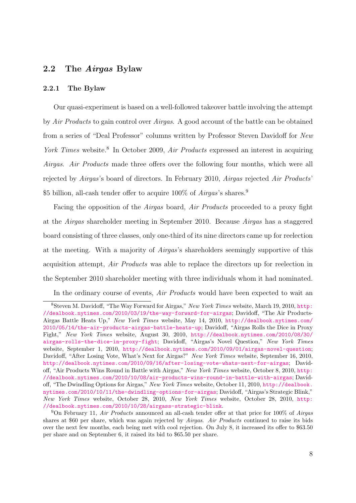### 2.2 The Airgas Bylaw

#### 2.2.1 The Bylaw

Our quasi-experiment is based on a well-followed takeover battle involving the attempt by Air Products to gain control over Airgas. A good account of the battle can be obtained from a series of "Deal Professor" columns written by Professor Steven Davidoff for New York Times website.<sup>8</sup> In October 2009, Air Products expressed an interest in acquiring Airgas. Air Products made three offers over the following four months, which were all rejected by Airgas's board of directors. In February 2010, Airgas rejected Air Products' \$5 billion, all-cash tender offer to acquire  $100\%$  of Airgas's shares.<sup>9</sup>

Facing the opposition of the Airgas board, Air Products proceeded to a proxy fight at the Airgas shareholder meeting in September 2010. Because Airgas has a staggered board consisting of three classes, only one-third of its nine directors came up for reelection at the meeting. With a majority of Airgas's shareholders seemingly supportive of this acquisition attempt, Air Products was able to replace the directors up for reelection in the September 2010 shareholder meeting with three individuals whom it had nominated.

In the ordinary course of events, Air Products would have been expected to wait an

<sup>&</sup>lt;sup>8</sup>Steven M. Davidoff, "The Way Forward for Airgas," New York Times website, March 19, 2010, [http:](http://dealbook.nytimes.com/2010/03/19/the-way-forward-for-airgas) [//dealbook.nytimes.com/2010/03/19/the-way-forward-for-airgas](http://dealbook.nytimes.com/2010/03/19/the-way-forward-for-airgas); Davidoff, "The Air Products-Airgas Battle Heats Up," New York Times website, May 14, 2010, [http://dealbook.nytimes.com/](http://dealbook.nytimes.com/2010/05/14/the-air-products-airgas-battle-heats-up) [2010/05/14/the-air-products-airgas-battle-heats-up](http://dealbook.nytimes.com/2010/05/14/the-air-products-airgas-battle-heats-up); Davidoff, "Airgas Rolls the Dice in Proxy Fight," New York Times website, August 30, 2010, [http://dealbook.nytimes.com/2010/08/30/](http://dealbook.nytimes.com/2010/08/30/airgas-rolls-the-dice-in-proxy-fight) [airgas-rolls-the-dice-in-proxy-fight](http://dealbook.nytimes.com/2010/08/30/airgas-rolls-the-dice-in-proxy-fight); Davidoff, "Airgas's Novel Question," New York Times website, September 1, 2010, <http://dealbook.nytimes.com/2010/09/01/airgas-novel-question>; Davidoff, "After Losing Vote, What's Next for Airgas?" New York Times website, September 16, 2010, <http://dealbook.nytimes.com/2010/09/16/after-losing-vote-whats-next-for-airgas>; Davidoff, "Air Products Wins Round in Battle with Airgas," New York Times website, October 8, 2010, [http:](http://dealbook.nytimes.com/2010/10/08/air-products-wins-round-in-battle-with-airgas) [//dealbook.nytimes.com/2010/10/08/air-products-wins-round-in-battle-with-airgas](http://dealbook.nytimes.com/2010/10/08/air-products-wins-round-in-battle-with-airgas); Davidoff, "The Dwindling Options for Airgas," New York Times website, October 11, 2010, [http://dealbook.](http://dealbook.nytimes.com/2010/10/11/the-dwindling-options-for-airgas) [nytimes.com/2010/10/11/the-dwindling-options-for-airgas](http://dealbook.nytimes.com/2010/10/11/the-dwindling-options-for-airgas); Davidoff, "Airgas's Strategic Blink," New York Times website, October 28, 2010, New York Times website, October 28, 2010, [http:](http://dealbook.nytimes.com/2010/10/28/airgass-strategic-blink) [//dealbook.nytimes.com/2010/10/28/airgass-strategic-blink](http://dealbook.nytimes.com/2010/10/28/airgass-strategic-blink).

<sup>&</sup>lt;sup>9</sup>On February 11, Air Products announced an all-cash tender offer at that price for 100% of Airgas shares at \$60 per share, which was again rejected by Airgas. Air Products continued to raise its bids over the next few months, each being met with cool rejection. On July 8, it increased its offer to \$63.50 per share and on September 6, it raised its bid to \$65.50 per share.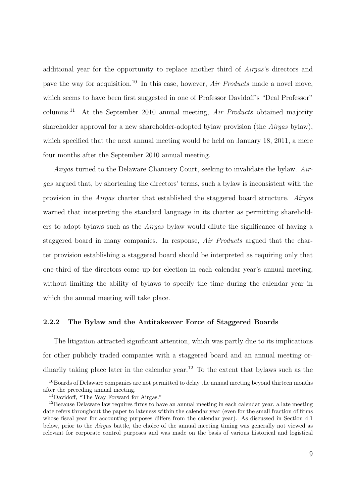additional year for the opportunity to replace another third of Airgas's directors and pave the way for acquisition.<sup>10</sup> In this case, however,  $Air$  Products made a novel move, which seems to have been first suggested in one of Professor Davidoff's "Deal Professor" columns.<sup>11</sup> At the September 2010 annual meeting, Air Products obtained majority shareholder approval for a new shareholder-adopted bylaw provision (the Airgas bylaw), which specified that the next annual meeting would be held on January 18, 2011, a mere four months after the September 2010 annual meeting.

Airgas turned to the Delaware Chancery Court, seeking to invalidate the bylaw. Airgas argued that, by shortening the directors' terms, such a bylaw is inconsistent with the provision in the Airgas charter that established the staggered board structure. Airgas warned that interpreting the standard language in its charter as permitting shareholders to adopt bylaws such as the Airgas bylaw would dilute the significance of having a staggered board in many companies. In response, Air Products argued that the charter provision establishing a staggered board should be interpreted as requiring only that one-third of the directors come up for election in each calendar year's annual meeting, without limiting the ability of bylaws to specify the time during the calendar year in which the annual meeting will take place.

#### 2.2.2 The Bylaw and the Antitakeover Force of Staggered Boards

The litigation attracted significant attention, which was partly due to its implications for other publicly traded companies with a staggered board and an annual meeting ordinarily taking place later in the calendar year.<sup>12</sup> To the extent that bylaws such as the

<sup>&</sup>lt;sup>10</sup>Boards of Delaware companies are not permitted to delay the annual meeting beyond thirteen months after the preceding annual meeting.

<sup>11</sup>Davidoff, "The Way Forward for Airgas."

 $12$ Because Delaware law requires firms to have an annual meeting in each calendar year, a late meeting date refers throughout the paper to lateness within the calendar year (even for the small fraction of firms whose fiscal year for accounting purposes differs from the calendar year). As discussed in Section 4.1 below, prior to the Airgas battle, the choice of the annual meeting timing was generally not viewed as relevant for corporate control purposes and was made on the basis of various historical and logistical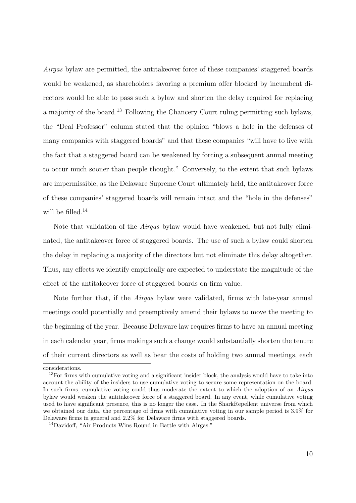Airgas bylaw are permitted, the antitakeover force of these companies' staggered boards would be weakened, as shareholders favoring a premium offer blocked by incumbent directors would be able to pass such a bylaw and shorten the delay required for replacing a majority of the board.<sup>13</sup> Following the Chancery Court ruling permitting such bylaws, the "Deal Professor" column stated that the opinion "blows a hole in the defenses of many companies with staggered boards" and that these companies "will have to live with the fact that a staggered board can be weakened by forcing a subsequent annual meeting to occur much sooner than people thought." Conversely, to the extent that such bylaws are impermissible, as the Delaware Supreme Court ultimately held, the antitakeover force of these companies' staggered boards will remain intact and the "hole in the defenses" will be filled.<sup>14</sup>

Note that validation of the Airgas bylaw would have weakened, but not fully eliminated, the antitakeover force of staggered boards. The use of such a bylaw could shorten the delay in replacing a majority of the directors but not eliminate this delay altogether. Thus, any effects we identify empirically are expected to understate the magnitude of the effect of the antitakeover force of staggered boards on firm value.

Note further that, if the Airgas bylaw were validated, firms with late-year annual meetings could potentially and preemptively amend their bylaws to move the meeting to the beginning of the year. Because Delaware law requires firms to have an annual meeting in each calendar year, firms makings such a change would substantially shorten the tenure of their current directors as well as bear the costs of holding two annual meetings, each

considerations.

<sup>&</sup>lt;sup>13</sup>For firms with cumulative voting and a significant insider block, the analysis would have to take into account the ability of the insiders to use cumulative voting to secure some representation on the board. In such firms, cumulative voting could thus moderate the extent to which the adoption of an Airgas bylaw would weaken the antitakeover force of a staggered board. In any event, while cumulative voting used to have significant presence, this is no longer the case. In the SharkRepellent universe from which we obtained our data, the percentage of firms with cumulative voting in our sample period is 3.9% for Delaware firms in general and 2.2% for Delaware firms with staggered boards.

<sup>14</sup>Davidoff, "Air Products Wins Round in Battle with Airgas."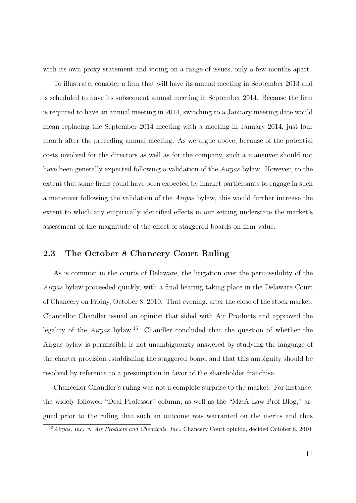with its own proxy statement and voting on a range of issues, only a few months apart.

To illustrate, consider a firm that will have its annual meeting in September 2013 and is scheduled to have its subsequent annual meeting in September 2014. Because the firm is required to have an annual meeting in 2014, switching to a January meeting date would mean replacing the September 2014 meeting with a meeting in January 2014, just four month after the preceding annual meeting. As we argue above, because of the potential costs involved for the directors as well as for the company, such a maneuver should not have been generally expected following a validation of the *Airgas* bylaw. However, to the extent that some firms could have been expected by market participants to engage in such a maneuver following the validation of the Airgas bylaw, this would further increase the extent to which any empirically identified effects in our setting understate the market's assessment of the magnitude of the effect of staggered boards on firm value.

## 2.3 The October 8 Chancery Court Ruling

As is common in the courts of Delaware, the litigation over the permissibility of the Airgas bylaw proceeded quickly, with a final hearing taking place in the Delaware Court of Chancery on Friday, October 8, 2010. That evening, after the close of the stock market, Chancellor Chandler issued an opinion that sided with Air Products and approved the legality of the Airgas bylaw.<sup>15</sup> Chandler concluded that the question of whether the Airgas bylaw is permissible is not unambiguously answered by studying the language of the charter provision establishing the staggered board and that this ambiguity should be resolved by reference to a presumption in favor of the shareholder franchise.

Chancellor Chandler's ruling was not a complete surprise to the market. For instance, the widely followed "Deal Professor" column, as well as the "M&A Law Prof Blog," argued prior to the ruling that such an outcome was warranted on the merits and thus

<sup>&</sup>lt;sup>15</sup> Airgas, Inc. v. Air Products and Chemicals, Inc., Chancery Court opinion, decided October 8, 2010.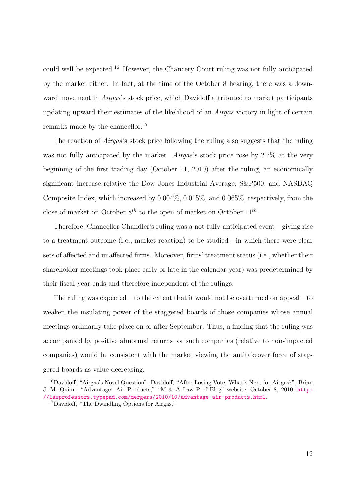could well be expected.<sup>16</sup> However, the Chancery Court ruling was not fully anticipated by the market either. In fact, at the time of the October 8 hearing, there was a downward movement in *Airgas's* stock price, which Davidoff attributed to market participants updating upward their estimates of the likelihood of an Airgas victory in light of certain remarks made by the chancellor.<sup>17</sup>

The reaction of *Airgas's* stock price following the ruling also suggests that the ruling was not fully anticipated by the market. Airgas's stock price rose by 2.7% at the very beginning of the first trading day (October 11, 2010) after the ruling, an economically significant increase relative the Dow Jones Industrial Average, S&P500, and NASDAQ Composite Index, which increased by 0.004%, 0.015%, and 0.065%, respectively, from the close of market on October  $8^{th}$  to the open of market on October  $11^{th}$ .

Therefore, Chancellor Chandler's ruling was a not-fully-anticipated event—giving rise to a treatment outcome (i.e., market reaction) to be studied—in which there were clear sets of affected and unaffected firms. Moreover, firms' treatment status (i.e., whether their shareholder meetings took place early or late in the calendar year) was predetermined by their fiscal year-ends and therefore independent of the rulings.

The ruling was expected—to the extent that it would not be overturned on appeal—to weaken the insulating power of the staggered boards of those companies whose annual meetings ordinarily take place on or after September. Thus, a finding that the ruling was accompanied by positive abnormal returns for such companies (relative to non-impacted companies) would be consistent with the market viewing the antitakeover force of staggered boards as value-decreasing.

<sup>&</sup>lt;sup>16</sup>Davidoff, "Airgas's Novel Question"; Davidoff, "After Losing Vote, What's Next for Airgas?"; Brian J. M. Quinn, "Advantage: Air Products," "M & A Law Prof Blog" website, October 8, 2010, [http:](http://lawprofessors.typepad.com/mergers/2010/10/advantage-air-products.html) [//lawprofessors.typepad.com/mergers/2010/10/advantage-air-products.html](http://lawprofessors.typepad.com/mergers/2010/10/advantage-air-products.html).

<sup>17</sup>Davidoff, "The Dwindling Options for Airgas."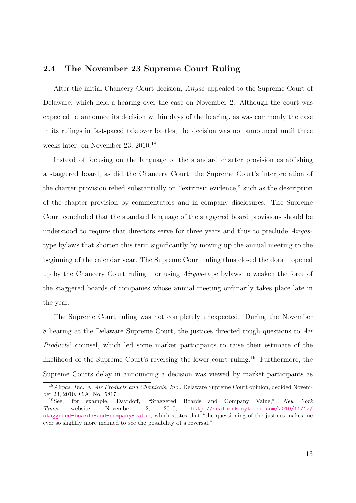## 2.4 The November 23 Supreme Court Ruling

After the initial Chancery Court decision, Airgas appealed to the Supreme Court of Delaware, which held a hearing over the case on November 2. Although the court was expected to announce its decision within days of the hearing, as was commonly the case in its rulings in fast-paced takeover battles, the decision was not announced until three weeks later, on November 23, 2010.<sup>18</sup>

Instead of focusing on the language of the standard charter provision establishing a staggered board, as did the Chancery Court, the Supreme Court's interpretation of the charter provision relied substantially on "extrinsic evidence," such as the description of the chapter provision by commentators and in company disclosures. The Supreme Court concluded that the standard language of the staggered board provisions should be understood to require that directors serve for three years and thus to preclude Airgastype bylaws that shorten this term significantly by moving up the annual meeting to the beginning of the calendar year. The Supreme Court ruling thus closed the door—opened up by the Chancery Court ruling—for using Airgas-type bylaws to weaken the force of the staggered boards of companies whose annual meeting ordinarily takes place late in the year.

The Supreme Court ruling was not completely unexpected. During the November 8 hearing at the Delaware Supreme Court, the justices directed tough questions to Air Products' counsel, which led some market participants to raise their estimate of the likelihood of the Supreme Court's reversing the lower court ruling.<sup>19</sup> Furthermore, the Supreme Courts delay in announcing a decision was viewed by market participants as

<sup>&</sup>lt;sup>18</sup> Airgas, Inc. v. Air Products and Chemicals, Inc., Delaware Supreme Court opinion, decided November 23, 2010, C.A. No. 5817.

<sup>&</sup>lt;sup>19</sup>See, for example, Davidoff, "Staggered Boards and Company Value," New York Times website, November 12, 2010, [http://dealbook.nytimes.com/2010/11/12/](http://dealbook.nytimes.com/2010/11/12/staggered-boards-and-company-value) [staggered-boards-and-company-value](http://dealbook.nytimes.com/2010/11/12/staggered-boards-and-company-value), which states that "the questioning of the justices makes me ever so slightly more inclined to see the possibility of a reversal."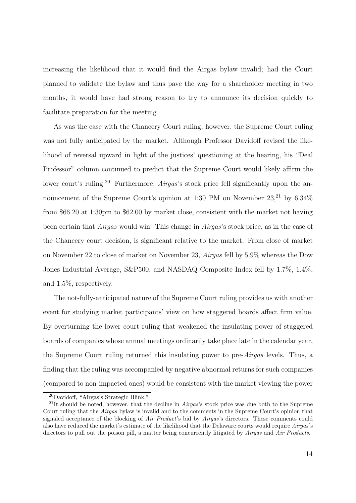increasing the likelihood that it would find the Airgas bylaw invalid; had the Court planned to validate the bylaw and thus pave the way for a shareholder meeting in two months, it would have had strong reason to try to announce its decision quickly to facilitate preparation for the meeting.

As was the case with the Chancery Court ruling, however, the Supreme Court ruling was not fully anticipated by the market. Although Professor Davidoff revised the likelihood of reversal upward in light of the justices' questioning at the hearing, his "Deal Professor" column continued to predict that the Supreme Court would likely affirm the lower court's ruling.<sup>20</sup> Furthermore, *Airgas*'s stock price fell significantly upon the announcement of the Supreme Court's opinion at 1:30 PM on November  $23$ <sup>21</sup> by  $6.34\%$ from \$66.20 at 1:30pm to \$62.00 by market close, consistent with the market not having been certain that Airgas would win. This change in Airgas's stock price, as in the case of the Chancery court decision, is significant relative to the market. From close of market on November 22 to close of market on November 23, Airgas fell by 5.9% whereas the Dow Jones Industrial Average, S&P500, and NASDAQ Composite Index fell by 1.7%, 1.4%, and 1.5%, respectively.

The not-fully-anticipated nature of the Supreme Court ruling provides us with another event for studying market participants' view on how staggered boards affect firm value. By overturning the lower court ruling that weakened the insulating power of staggered boards of companies whose annual meetings ordinarily take place late in the calendar year, the Supreme Court ruling returned this insulating power to pre-Airgas levels. Thus, a finding that the ruling was accompanied by negative abnormal returns for such companies (compared to non-impacted ones) would be consistent with the market viewing the power

<sup>20</sup>Davidoff, "Airgas's Strategic Blink."

<sup>&</sup>lt;sup>21</sup>It should be noted, however, that the decline in *Airgas*'s stock price was due both to the Supreme Court ruling that the Airgas bylaw is invalid and to the comments in the Supreme Court's opinion that signaled acceptance of the blocking of Air Product's bid by Airgas's directors. These comments could also have reduced the market's estimate of the likelihood that the Delaware courts would require Airgas's directors to pull out the poison pill, a matter being concurrently litigated by Airgas and Air Products.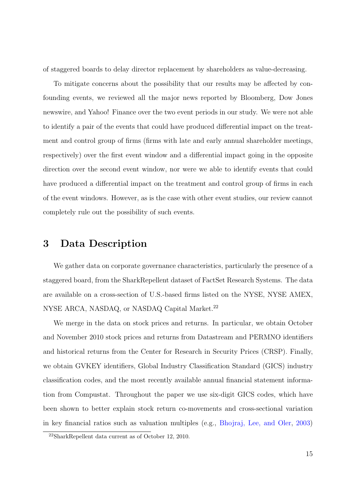of staggered boards to delay director replacement by shareholders as value-decreasing.

To mitigate concerns about the possibility that our results may be affected by confounding events, we reviewed all the major news reported by Bloomberg, Dow Jones newswire, and Yahoo! Finance over the two event periods in our study. We were not able to identify a pair of the events that could have produced differential impact on the treatment and control group of firms (firms with late and early annual shareholder meetings, respectively) over the first event window and a differential impact going in the opposite direction over the second event window, nor were we able to identify events that could have produced a differential impact on the treatment and control group of firms in each of the event windows. However, as is the case with other event studies, our review cannot completely rule out the possibility of such events.

## 3 Data Description

We gather data on corporate governance characteristics, particularly the presence of a staggered board, from the SharkRepellent dataset of FactSet Research Systems. The data are available on a cross-section of U.S.-based firms listed on the NYSE, NYSE AMEX, NYSE ARCA, NASDAQ, or NASDAQ Capital Market.<sup>22</sup>

We merge in the data on stock prices and returns. In particular, we obtain October and November 2010 stock prices and returns from Datastream and PERMNO identifiers and historical returns from the Center for Research in Security Prices (CRSP). Finally, we obtain GVKEY identifiers, Global Industry Classification Standard (GICS) industry classification codes, and the most recently available annual financial statement information from Compustat. Throughout the paper we use six-digit GICS codes, which have been shown to better explain stock return co-movements and cross-sectional variation in key financial ratios such as valuation multiples (e.g., [Bhojraj, Lee, and Oler,](#page-32-11) [2003\)](#page-32-11)

<sup>22</sup>SharkRepellent data current as of October 12, 2010.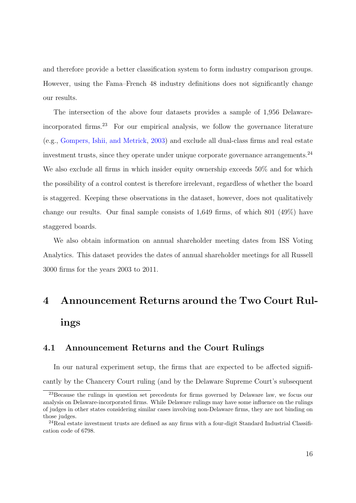and therefore provide a better classification system to form industry comparison groups. However, using the Fama–French 48 industry definitions does not significantly change our results.

The intersection of the above four datasets provides a sample of 1,956 Delawareincorporated firms.<sup>23</sup> For our empirical analysis, we follow the governance literature (e.g., [Gompers, Ishii, and Metrick,](#page-33-0) [2003\)](#page-33-0) and exclude all dual-class firms and real estate investment trusts, since they operate under unique corporate governance arrangements.<sup>24</sup> We also exclude all firms in which insider equity ownership exceeds 50% and for which the possibility of a control contest is therefore irrelevant, regardless of whether the board is staggered. Keeping these observations in the dataset, however, does not qualitatively change our results. Our final sample consists of 1,649 firms, of which 801 (49%) have staggered boards.

We also obtain information on annual shareholder meeting dates from ISS Voting Analytics. This dataset provides the dates of annual shareholder meetings for all Russell 3000 firms for the years 2003 to 2011.

# 4 Announcement Returns around the Two Court Rulings

## <span id="page-17-0"></span>4.1 Announcement Returns and the Court Rulings

In our natural experiment setup, the firms that are expected to be affected significantly by the Chancery Court ruling (and by the Delaware Supreme Court's subsequent

<sup>&</sup>lt;sup>23</sup>Because the rulings in question set precedents for firms governed by Delaware law, we focus our analysis on Delaware-incorporated firms. While Delaware rulings may have some influence on the rulings of judges in other states considering similar cases involving non-Delaware firms, they are not binding on those judges.

 $^{24}$ Real estate investment trusts are defined as any firms with a four-digit Standard Industrial Classification code of 6798.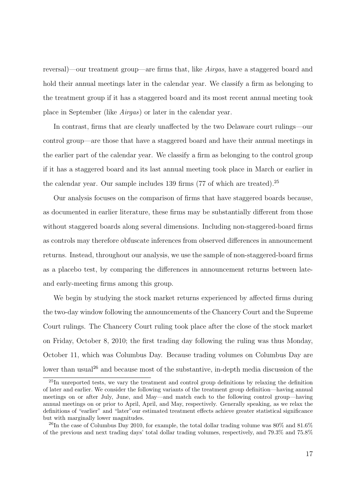reversal)—our treatment group—are firms that, like Airgas, have a staggered board and hold their annual meetings later in the calendar year. We classify a firm as belonging to the treatment group if it has a staggered board and its most recent annual meeting took place in September (like Airgas) or later in the calendar year.

In contrast, firms that are clearly unaffected by the two Delaware court rulings—our control group—are those that have a staggered board and have their annual meetings in the earlier part of the calendar year. We classify a firm as belonging to the control group if it has a staggered board and its last annual meeting took place in March or earlier in the calendar year. Our sample includes 139 firms (77 of which are treated).<sup>25</sup>

Our analysis focuses on the comparison of firms that have staggered boards because, as documented in earlier literature, these firms may be substantially different from those without staggered boards along several dimensions. Including non-staggered-board firms as controls may therefore obfuscate inferences from observed differences in announcement returns. Instead, throughout our analysis, we use the sample of non-staggered-board firms as a placebo test, by comparing the differences in announcement returns between lateand early-meeting firms among this group.

We begin by studying the stock market returns experienced by affected firms during the two-day window following the announcements of the Chancery Court and the Supreme Court rulings. The Chancery Court ruling took place after the close of the stock market on Friday, October 8, 2010; the first trading day following the ruling was thus Monday, October 11, which was Columbus Day. Because trading volumes on Columbus Day are lower than usual<sup>26</sup> and because most of the substantive, in-depth media discussion of the

<sup>&</sup>lt;sup>25</sup>In unreported tests, we vary the treatment and control group definitions by relaxing the definition of later and earlier. We consider the following variants of the treatment group definition—having annual meetings on or after July, June, and May—and match each to the following control group—having annual meetings on or prior to April, April, and May, respectively. Generally speaking, as we relax the definitions of "earlier" and "later"our estimated treatment effects achieve greater statistical significance but with marginally lower magnitudes.

<sup>&</sup>lt;sup>26</sup>In the case of Columbus Day 2010, for example, the total dollar trading volume was  $80\%$  and  $81.6\%$ of the previous and next trading days' total dollar trading volumes, respectively, and 79.3% and 75.8%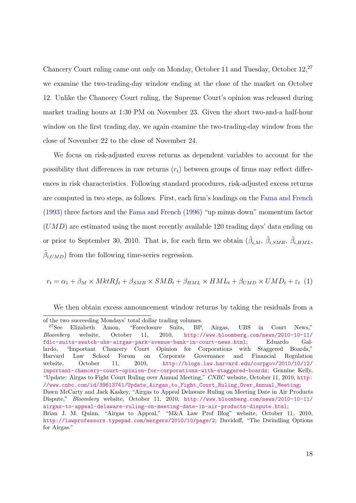Chancery Court ruling came out only on Monday, October 11 and Tuesday, October 12,<sup>27</sup> we examine the two-trading-day window ending at the close of the market on October 12. Unlike the Chancery Court ruling, the Supreme Court's opinion was released during market trading hours at 1:30 PM on November 23. Given the short two-and-a half-hour window on the first trading day, we again examine the two-trading-day window from the close of November 22 to the close of November 24.

We focus on risk-adjusted excess returns as dependent variables to account for the possibility that differences in raw returns  $(r_t)$  between groups of firms may reflect differences in risk characteristics. Following standard procedures, risk-adjusted excess returns are computed in two steps, as follows. First, each firm's loadings on the [Fama and French](#page-33-11) [\(1993\)](#page-33-11) three factors and the [Fama and French](#page-33-12) [\(1996\)](#page-33-12) "up minus down" momentum factor  $(UMD)$  are estimated using the most recently available 120 trading days' data ending on or prior to September 30, 2010. That is, for each firm we obtain  $(\hat{\beta}_{i,M}, \hat{\beta}_{i,SMB}, \hat{\beta}_{i,HML},$  $\hat{\beta}_{i, UMD}$ ) from the following time-series regression.

 $r_t = \alpha_1 + \beta_M \times MktRf_t + \beta_{SMB} \times SMB_t + \beta_{HML} \times HML_t + \beta_{UMD} \times UMD_t + \varepsilon_t$  (1)

We then obtain excess announcement window returns by taking the residuals from a

Dispute," Bloomberg website, October 11, 2010, [http://www.bloomberg.com/news/2010-10-11/](http://www.bloomberg.com/news/2010-10-11/airgas-to-appeal-delaware-ruling-on-meeting-date-in-air-products-dispute.html) [airgas-to-appeal-delaware-ruling-on-meeting-date-in-air-products-dispute.html](http://www.bloomberg.com/news/2010-10-11/airgas-to-appeal-delaware-ruling-on-meeting-date-in-air-products-dispute.html);

of the two succeeding Mondays' total dollar trading volumes.

<sup>27</sup>See Elizabeth Amon, "Foreclosure Suits, BP, Airgas, UBS in Court News," Bloomberg website, October 11, 2010, [http://www.bloomberg.com/news/2010-10-11/](http://www.bloomberg.com/news/2010-10-11/fdic-suits-swatch-ubs-airgas-park-avenue-bank-in-court-news.html) [fdic-suits-swatch-ubs-airgas-park-avenue-bank-in-court-news.html](http://www.bloomberg.com/news/2010-10-11/fdic-suits-swatch-ubs-airgas-park-avenue-bank-in-court-news.html); Eduardo Gallardo, "Important Chancery Court Opinion for Corporations with Staggered Boards," Harvard Law School Forum on Corporate Governance and Financial Regulation website, October 11, 2010, [http://blogs.law.harvard.edu/corpgov/2010/10/12/](http://blogs.law.harvard.edu/corpgov/2010/10/12/important-chancery-court-opinion-for-corporations-with-staggered-boards) [important-chancery-court-opinion-for-corporations-with-staggered-boards](http://blogs.law.harvard.edu/corpgov/2010/10/12/important-chancery-court-opinion-for-corporations-with-staggered-boards); Gennine Kelly, "Update: Airgas to Fight Court Ruling over Annual Meeting," CNBC website, October 11, 2010, [http:](http://www.cnbc.com/id/39613741/Update_Airgas_to_Fight_Court_Ruling_Over_Annual_Meeting) [//www.cnbc.com/id/39613741/Update\\_Airgas\\_to\\_Fight\\_Court\\_Ruling\\_Over\\_Annual\\_Meeting](http://www.cnbc.com/id/39613741/Update_Airgas_to_Fight_Court_Ruling_Over_Annual_Meeting); Dawn McCarty and Jack Kaskey, "Airgas to Appeal Delaware Ruling on Meeting Date in Air Products

Brian J. M. Quinn, "Airgas to Appeal," "M&A Law Prof Blog" website, October 11, 2010, <http://lawprofessors.typepad.com/mergers/2010/10/page/2>; Davidoff, "The Dwindling Options for Airgas."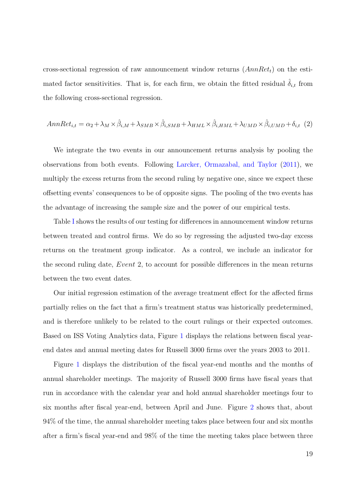cross-sectional regression of raw announcement window returns  $(AnnRet<sub>t</sub>)$  on the estimated factor sensitivities. That is, for each firm, we obtain the fitted residual  $\delta_{i,t}$  from the following cross-sectional regression.

$$
AnnRet_{i,t} = \alpha_2 + \lambda_M \times \hat{\beta}_{i,M} + \lambda_{SMB} \times \hat{\beta}_{i,SMB} + \lambda_{HML} \times \hat{\beta}_{i,HML} + \lambda_{UMD} \times \hat{\beta}_{i,UMD} + \delta_{i,t} (2)
$$

We integrate the two events in our announcement returns analysis by pooling the observations from both events. Following [Larcker, Ormazabal, and Taylor](#page-33-10) [\(2011\)](#page-33-10), we multiply the excess returns from the second ruling by negative one, since we expect these offsetting events' consequences to be of opposite signs. The pooling of the two events has the advantage of increasing the sample size and the power of our empirical tests.

Table [I](#page-40-0) shows the results of our testing for differences in announcement window returns between treated and control firms. We do so by regressing the adjusted two-day excess returns on the treatment group indicator. As a control, we include an indicator for the second ruling date, Event 2, to account for possible differences in the mean returns between the two event dates.

Our initial regression estimation of the average treatment effect for the affected firms partially relies on the fact that a firm's treatment status was historically predetermined, and is therefore unlikely to be related to the court rulings or their expected outcomes. Based on ISS Voting Analytics data, Figure [1](#page-35-0) displays the relations between fiscal yearend dates and annual meeting dates for Russell 3000 firms over the years 2003 to 2011.

Figure [1](#page-35-0) displays the distribution of the fiscal year-end months and the months of annual shareholder meetings. The majority of Russell 3000 firms have fiscal years that run in accordance with the calendar year and hold annual shareholder meetings four to six months after fiscal year-end, between April and June. Figure [2](#page-36-0) shows that, about 94% of the time, the annual shareholder meeting takes place between four and six months after a firm's fiscal year-end and 98% of the time the meeting takes place between three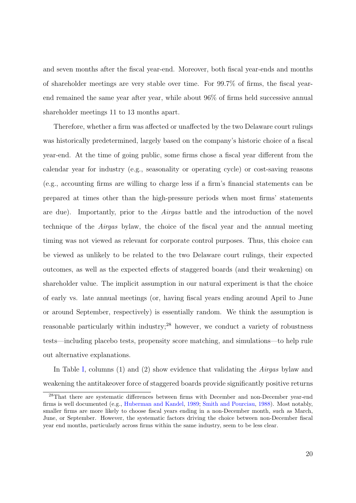and seven months after the fiscal year-end. Moreover, both fiscal year-ends and months of shareholder meetings are very stable over time. For 99.7% of firms, the fiscal yearend remained the same year after year, while about 96% of firms held successive annual shareholder meetings 11 to 13 months apart.

Therefore, whether a firm was affected or unaffected by the two Delaware court rulings was historically predetermined, largely based on the company's historic choice of a fiscal year-end. At the time of going public, some firms chose a fiscal year different from the calendar year for industry (e.g., seasonality or operating cycle) or cost-saving reasons (e.g., accounting firms are willing to charge less if a firm's financial statements can be prepared at times other than the high-pressure periods when most firms' statements are due). Importantly, prior to the Airgas battle and the introduction of the novel technique of the Airgas bylaw, the choice of the fiscal year and the annual meeting timing was not viewed as relevant for corporate control purposes. Thus, this choice can be viewed as unlikely to be related to the two Delaware court rulings, their expected outcomes, as well as the expected effects of staggered boards (and their weakening) on shareholder value. The implicit assumption in our natural experiment is that the choice of early vs. late annual meetings (or, having fiscal years ending around April to June or around September, respectively) is essentially random. We think the assumption is reasonable particularly within industry;<sup>28</sup> however, we conduct a variety of robustness tests—including placebo tests, propensity score matching, and simulations—to help rule out alternative explanations.

In Table [I,](#page-40-0) columns (1) and (2) show evidence that validating the *Airgas* bylaw and weakening the antitakeover force of staggered boards provide significantly positive returns

<sup>28</sup>That there are systematic differences between firms with December and non-December year-end firms is well documented (e.g., [Huberman and Kandel,](#page-33-13) [1989;](#page-33-13) [Smith and Pourciau,](#page-34-3) [1988\)](#page-34-3). Most notably, smaller firms are more likely to choose fiscal years ending in a non-December month, such as March, June, or September. However, the systematic factors driving the choice between non-December fiscal year end months, particularly across firms within the same industry, seem to be less clear.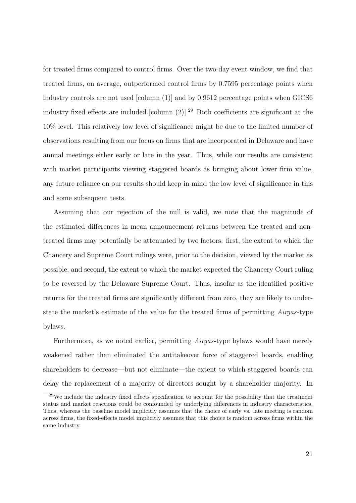for treated firms compared to control firms. Over the two-day event window, we find that treated firms, on average, outperformed control firms by 0.7595 percentage points when industry controls are not used [column (1)] and by 0.9612 percentage points when GICS6 industry fixed effects are included [column (2)].<sup>29</sup> Both coefficients are significant at the 10% level. This relatively low level of significance might be due to the limited number of observations resulting from our focus on firms that are incorporated in Delaware and have annual meetings either early or late in the year. Thus, while our results are consistent with market participants viewing staggered boards as bringing about lower firm value, any future reliance on our results should keep in mind the low level of significance in this and some subsequent tests.

Assuming that our rejection of the null is valid, we note that the magnitude of the estimated differences in mean announcement returns between the treated and nontreated firms may potentially be attenuated by two factors: first, the extent to which the Chancery and Supreme Court rulings were, prior to the decision, viewed by the market as possible; and second, the extent to which the market expected the Chancery Court ruling to be reversed by the Delaware Supreme Court. Thus, insofar as the identified positive returns for the treated firms are significantly different from zero, they are likely to understate the market's estimate of the value for the treated firms of permitting Airgas-type bylaws.

Furthermore, as we noted earlier, permitting Airgas-type bylaws would have merely weakened rather than eliminated the antitakeover force of staggered boards, enabling shareholders to decrease—but not eliminate—the extent to which staggered boards can delay the replacement of a majority of directors sought by a shareholder majority. In

<sup>29</sup>We include the industry fixed effects specification to account for the possibility that the treatment status and market reactions could be confounded by underlying differences in industry characteristics. Thus, whereas the baseline model implicitly assumes that the choice of early vs. late meeting is random across firms, the fixed-effects model implicitly assumes that this choice is random across firms within the same industry.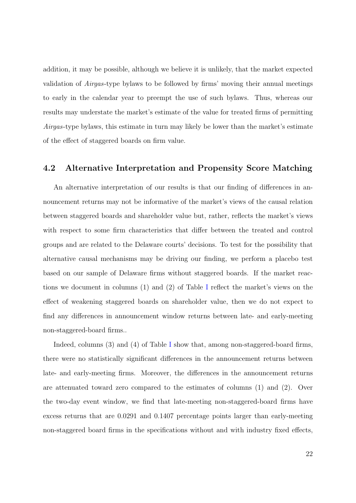addition, it may be possible, although we believe it is unlikely, that the market expected validation of Airgas-type bylaws to be followed by firms' moving their annual meetings to early in the calendar year to preempt the use of such bylaws. Thus, whereas our results may understate the market's estimate of the value for treated firms of permitting Airgas-type bylaws, this estimate in turn may likely be lower than the market's estimate of the effect of staggered boards on firm value.

## 4.2 Alternative Interpretation and Propensity Score Matching

An alternative interpretation of our results is that our finding of differences in announcement returns may not be informative of the market's views of the causal relation between staggered boards and shareholder value but, rather, reflects the market's views with respect to some firm characteristics that differ between the treated and control groups and are related to the Delaware courts' decisions. To test for the possibility that alternative causal mechanisms may be driving our finding, we perform a placebo test based on our sample of Delaware firms without staggered boards. If the market reactions we document in columns (1) and (2) of Table [I](#page-40-0) reflect the market's views on the effect of weakening staggered boards on shareholder value, then we do not expect to find any differences in announcement window returns between late- and early-meeting non-staggered-board firms..

[I](#page-40-0)ndeed, columns (3) and (4) of Table I show that, among non-staggered-board firms, there were no statistically significant differences in the announcement returns between late- and early-meeting firms. Moreover, the differences in the announcement returns are attenuated toward zero compared to the estimates of columns (1) and (2). Over the two-day event window, we find that late-meeting non-staggered-board firms have excess returns that are 0.0291 and 0.1407 percentage points larger than early-meeting non-staggered board firms in the specifications without and with industry fixed effects,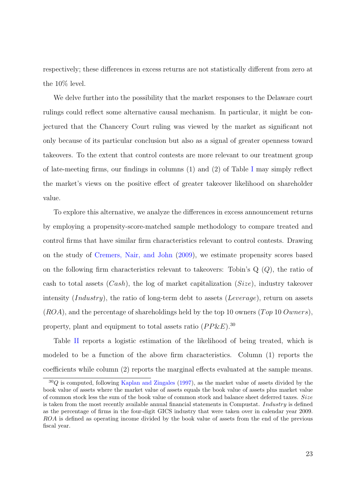respectively; these differences in excess returns are not statistically different from zero at the 10% level.

We delve further into the possibility that the market responses to the Delaware court rulings could reflect some alternative causal mechanism. In particular, it might be conjectured that the Chancery Court ruling was viewed by the market as significant not only because of its particular conclusion but also as a signal of greater openness toward takeovers. To the extent that control contests are more relevant to our treatment group of late-meeting firms, our findings in columns  $(1)$  and  $(2)$  of Table [I](#page-40-0) may simply reflect the market's views on the positive effect of greater takeover likelihood on shareholder value.

To explore this alternative, we analyze the differences in excess announcement returns by employing a propensity-score-matched sample methodology to compare treated and control firms that have similar firm characteristics relevant to control contests. Drawing on the study of [Cremers, Nair, and John](#page-32-12) [\(2009\)](#page-32-12), we estimate propensity scores based on the following firm characteristics relevant to takeovers: Tobin's  $Q(Q)$ , the ratio of cash to total assets  $(Cash)$ , the log of market capitalization  $(Size)$ , industry takeover intensity *(Industry)*, the ratio of long-term debt to assets *(Leverage)*, return on assets  $(ROA)$ , and the percentage of shareholdings held by the top 10 owners (Top 10 Owners), property, plant and equipment to total assets ratio  $(PP\&E)^{30}$ 

Table [II](#page-41-0) reports a logistic estimation of the likelihood of being treated, which is modeled to be a function of the above firm characteristics. Column (1) reports the coefficients while column (2) reports the marginal effects evaluated at the sample means.

 $30Q$  is computed, following [Kaplan and Zingales](#page-33-14) [\(1997\)](#page-33-14), as the market value of assets divided by the book value of assets where the market value of assets equals the book value of assets plus market value of common stock less the sum of the book value of common stock and balance sheet deferred taxes. Size is taken from the most recently available annual financial statements in Compustat. Industry is defined as the percentage of firms in the four-digit GICS industry that were taken over in calendar year 2009. ROA is defined as operating income divided by the book value of assets from the end of the previous fiscal year.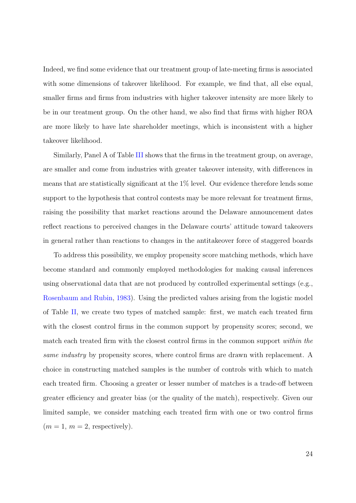Indeed, we find some evidence that our treatment group of late-meeting firms is associated with some dimensions of takeover likelihood. For example, we find that, all else equal, smaller firms and firms from industries with higher takeover intensity are more likely to be in our treatment group. On the other hand, we also find that firms with higher ROA are more likely to have late shareholder meetings, which is inconsistent with a higher takeover likelihood.

Similarly, Panel A of Table [III](#page-42-0) shows that the firms in the treatment group, on average, are smaller and come from industries with greater takeover intensity, with differences in means that are statistically significant at the 1% level. Our evidence therefore lends some support to the hypothesis that control contests may be more relevant for treatment firms, raising the possibility that market reactions around the Delaware announcement dates reflect reactions to perceived changes in the Delaware courts' attitude toward takeovers in general rather than reactions to changes in the antitakeover force of staggered boards

To address this possibility, we employ propensity score matching methods, which have become standard and commonly employed methodologies for making causal inferences using observational data that are not produced by controlled experimental settings (e.g., [Rosenbaum and Rubin,](#page-34-4) [1983\)](#page-34-4). Using the predicted values arising from the logistic model of Table [II,](#page-41-0) we create two types of matched sample: first, we match each treated firm with the closest control firms in the common support by propensity scores; second, we match each treated firm with the closest control firms in the common support *within the* same industry by propensity scores, where control firms are drawn with replacement. A choice in constructing matched samples is the number of controls with which to match each treated firm. Choosing a greater or lesser number of matches is a trade-off between greater efficiency and greater bias (or the quality of the match), respectively. Given our limited sample, we consider matching each treated firm with one or two control firms  $(m = 1, m = 2, respectively).$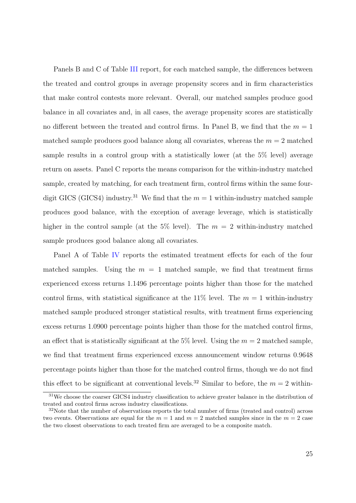Panels B and C of Table [III](#page-42-0) report, for each matched sample, the differences between the treated and control groups in average propensity scores and in firm characteristics that make control contests more relevant. Overall, our matched samples produce good balance in all covariates and, in all cases, the average propensity scores are statistically no different between the treated and control firms. In Panel B, we find that the  $m = 1$ matched sample produces good balance along all covariates, whereas the  $m = 2$  matched sample results in a control group with a statistically lower (at the 5% level) average return on assets. Panel C reports the means comparison for the within-industry matched sample, created by matching, for each treatment firm, control firms within the same fourdigit GICS (GICS4) industry.<sup>31</sup> We find that the  $m = 1$  within-industry matched sample produces good balance, with the exception of average leverage, which is statistically higher in the control sample (at the 5% level). The  $m = 2$  within-industry matched sample produces good balance along all covariates.

Panel A of Table [IV](#page-44-0) reports the estimated treatment effects for each of the four matched samples. Using the  $m = 1$  matched sample, we find that treatment firms experienced excess returns 1.1496 percentage points higher than those for the matched control firms, with statistical significance at the 11% level. The  $m = 1$  within-industry matched sample produced stronger statistical results, with treatment firms experiencing excess returns 1.0900 percentage points higher than those for the matched control firms, an effect that is statistically significant at the 5% level. Using the  $m = 2$  matched sample, we find that treatment firms experienced excess announcement window returns 0.9648 percentage points higher than those for the matched control firms, though we do not find this effect to be significant at conventional levels.<sup>32</sup> Similar to before, the  $m = 2$  within-

<sup>31</sup>We choose the coarser GICS4 industry classification to achieve greater balance in the distribution of treated and control firms across industry classifications.

<sup>&</sup>lt;sup>32</sup>Note that the number of observations reports the total number of firms (treated and control) across two events. Observations are equal for the  $m = 1$  and  $m = 2$  matched samples since in the  $m = 2$  case the two closest observations to each treated firm are averaged to be a composite match.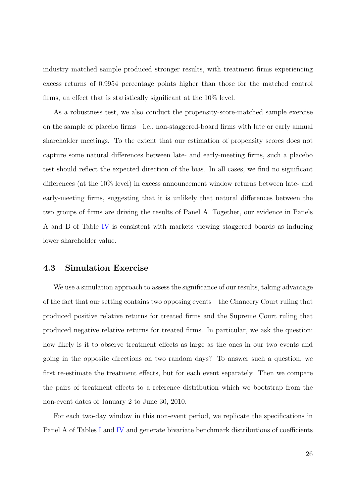industry matched sample produced stronger results, with treatment firms experiencing excess returns of 0.9954 percentage points higher than those for the matched control firms, an effect that is statistically significant at the 10% level.

As a robustness test, we also conduct the propensity-score-matched sample exercise on the sample of placebo firms—i.e., non-staggered-board firms with late or early annual shareholder meetings. To the extent that our estimation of propensity scores does not capture some natural differences between late- and early-meeting firms, such a placebo test should reflect the expected direction of the bias. In all cases, we find no significant differences (at the 10% level) in excess announcement window returns between late- and early-meeting firms, suggesting that it is unlikely that natural differences between the two groups of firms are driving the results of Panel A. Together, our evidence in Panels A and B of Table [IV](#page-44-0) is consistent with markets viewing staggered boards as inducing lower shareholder value.

## 4.3 Simulation Exercise

We use a simulation approach to assess the significance of our results, taking advantage of the fact that our setting contains two opposing events—the Chancery Court ruling that produced positive relative returns for treated firms and the Supreme Court ruling that produced negative relative returns for treated firms. In particular, we ask the question: how likely is it to observe treatment effects as large as the ones in our two events and going in the opposite directions on two random days? To answer such a question, we first re-estimate the treatment effects, but for each event separately. Then we compare the pairs of treatment effects to a reference distribution which we bootstrap from the non-event dates of January 2 to June 30, 2010.

For each two-day window in this non-event period, we replicate the specifications in Panel A of Tables [I](#page-40-0) and [IV](#page-44-0) and generate bivariate benchmark distributions of coefficients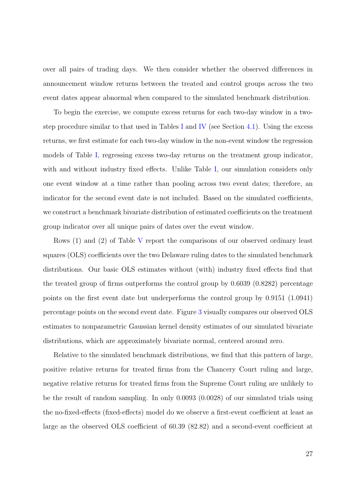over all pairs of trading days. We then consider whether the observed differences in announcement window returns between the treated and control groups across the two event dates appear abnormal when compared to the simulated benchmark distribution.

To begin the exercise, we compute excess returns for each two-day window in a two-step procedure similar to that used in Tables [I](#page-40-0) and [IV](#page-44-0) (see Section [4.1\)](#page-17-0). Using the excess returns, we first estimate for each two-day window in the non-event window the regression models of Table [I,](#page-40-0) regressing excess two-day returns on the treatment group indicator, with and without industry fixed effects. Unlike Table [I,](#page-40-0) our simulation considers only one event window at a time rather than pooling across two event dates; therefore, an indicator for the second event date is not included. Based on the simulated coefficients, we construct a benchmark bivariate distribution of estimated coefficients on the treatment group indicator over all unique pairs of dates over the event window.

Rows (1) and (2) of Table [V](#page-45-0) report the comparisons of our observed ordinary least squares (OLS) coefficients over the two Delaware ruling dates to the simulated benchmark distributions. Our basic OLS estimates without (with) industry fixed effects find that the treated group of firms outperforms the control group by 0.6039 (0.8282) percentage points on the first event date but underperforms the control group by 0.9151 (1.0941) percentage points on the second event date. Figure [3](#page-37-0) visually compares our observed OLS estimates to nonparametric Gaussian kernel density estimates of our simulated bivariate distributions, which are approximately bivariate normal, centered around zero.

Relative to the simulated benchmark distributions, we find that this pattern of large, positive relative returns for treated firms from the Chancery Court ruling and large, negative relative returns for treated firms from the Supreme Court ruling are unlikely to be the result of random sampling. In only 0.0093 (0.0028) of our simulated trials using the no-fixed-effects (fixed-effects) model do we observe a first-event coefficient at least as large as the observed OLS coefficient of 60.39 (82.82) and a second-event coefficient at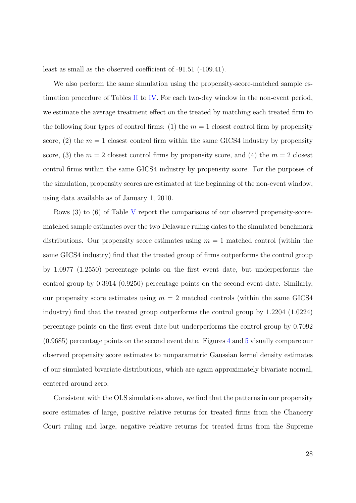least as small as the observed coefficient of -91.51 (-109.41).

We also perform the same simulation using the propensity-score-matched sample estimation procedure of Tables [II](#page-41-0) to [IV.](#page-44-0) For each two-day window in the non-event period, we estimate the average treatment effect on the treated by matching each treated firm to the following four types of control firms: (1) the  $m = 1$  closest control firm by propensity score, (2) the  $m = 1$  closest control firm within the same GICS4 industry by propensity score, (3) the  $m = 2$  closest control firms by propensity score, and (4) the  $m = 2$  closest control firms within the same GICS4 industry by propensity score. For the purposes of the simulation, propensity scores are estimated at the beginning of the non-event window, using data available as of January 1, 2010.

Rows (3) to (6) of Table [V](#page-45-0) report the comparisons of our observed propensity-scorematched sample estimates over the two Delaware ruling dates to the simulated benchmark distributions. Our propensity score estimates using  $m = 1$  matched control (within the same GICS4 industry) find that the treated group of firms outperforms the control group by 1.0977 (1.2550) percentage points on the first event date, but underperforms the control group by 0.3914 (0.9250) percentage points on the second event date. Similarly, our propensity score estimates using  $m = 2$  matched controls (within the same GICS4 industry) find that the treated group outperforms the control group by 1.2204 (1.0224) percentage points on the first event date but underperforms the control group by 0.7092 (0.9685) percentage points on the second event date. Figures [4](#page-38-0) and [5](#page-39-0) visually compare our observed propensity score estimates to nonparametric Gaussian kernel density estimates of our simulated bivariate distributions, which are again approximately bivariate normal, centered around zero.

Consistent with the OLS simulations above, we find that the patterns in our propensity score estimates of large, positive relative returns for treated firms from the Chancery Court ruling and large, negative relative returns for treated firms from the Supreme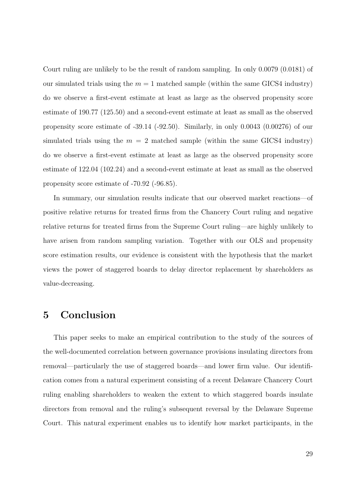Court ruling are unlikely to be the result of random sampling. In only 0.0079 (0.0181) of our simulated trials using the  $m = 1$  matched sample (within the same GICS4 industry) do we observe a first-event estimate at least as large as the observed propensity score estimate of 190.77 (125.50) and a second-event estimate at least as small as the observed propensity score estimate of -39.14 (-92.50). Similarly, in only 0.0043 (0.00276) of our simulated trials using the  $m = 2$  matched sample (within the same GICS4 industry) do we observe a first-event estimate at least as large as the observed propensity score estimate of 122.04 (102.24) and a second-event estimate at least as small as the observed propensity score estimate of -70.92 (-96.85).

In summary, our simulation results indicate that our observed market reactions—of positive relative returns for treated firms from the Chancery Court ruling and negative relative returns for treated firms from the Supreme Court ruling—are highly unlikely to have arisen from random sampling variation. Together with our OLS and propensity score estimation results, our evidence is consistent with the hypothesis that the market views the power of staggered boards to delay director replacement by shareholders as value-decreasing.

## 5 Conclusion

This paper seeks to make an empirical contribution to the study of the sources of the well-documented correlation between governance provisions insulating directors from removal—particularly the use of staggered boards—and lower firm value. Our identification comes from a natural experiment consisting of a recent Delaware Chancery Court ruling enabling shareholders to weaken the extent to which staggered boards insulate directors from removal and the ruling's subsequent reversal by the Delaware Supreme Court. This natural experiment enables us to identify how market participants, in the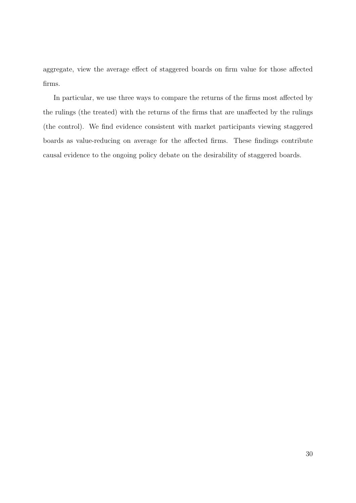aggregate, view the average effect of staggered boards on firm value for those affected firms.

In particular, we use three ways to compare the returns of the firms most affected by the rulings (the treated) with the returns of the firms that are unaffected by the rulings (the control). We find evidence consistent with market participants viewing staggered boards as value-reducing on average for the affected firms. These findings contribute causal evidence to the ongoing policy debate on the desirability of staggered boards.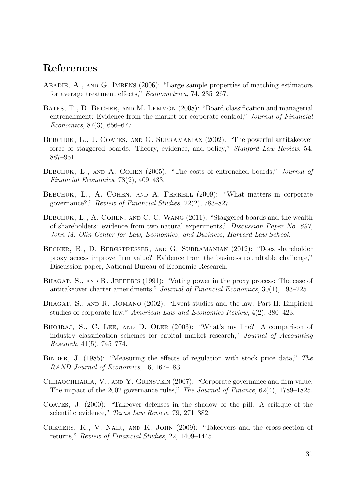# References

- <span id="page-32-13"></span>Abadie, A., and G. Imbens (2006): "Large sample properties of matching estimators for average treatment effects," Econometrica, 74, 235–267.
- <span id="page-32-3"></span>BATES, T., D. BECHER, AND M. LEMMON (2008): "Board classification and managerial entrenchment: Evidence from the market for corporate control," Journal of Financial Economics, 87(3), 656–677.
- <span id="page-32-2"></span>BEBCHUK, L., J. COATES, AND G. SUBRAMANIAN (2002): "The powerful antitakeover force of staggered boards: Theory, evidence, and policy," Stanford Law Review, 54, 887–951.
- <span id="page-32-0"></span>BEBCHUK, L., AND A. COHEN (2005): "The costs of entrenched boards," *Journal of* Financial Economics, 78(2), 409–433.
- <span id="page-32-1"></span>BEBCHUK, L., A. COHEN, AND A. FERRELL (2009): "What matters in corporate governance?," Review of Financial Studies, 22(2), 783–827.
- <span id="page-32-10"></span>BEBCHUK, L., A. COHEN, AND C. C. WANG (2011): "Staggered boards and the wealth of shareholders: evidence from two natural experiments," Discussion Paper No. 697, John M. Olin Center for Law, Economics, and Business, Harvard Law School.
- <span id="page-32-9"></span>Becker, B., D. Bergstresser, and G. Subramanian (2012): "Does shareholder proxy access improve firm value? Evidence from the business roundtable challenge," Discussion paper, National Bureau of Economic Research.
- <span id="page-32-6"></span>BHAGAT, S., AND R. JEFFERIS (1991): "Voting power in the proxy process: The case of antitakeover charter amendments," Journal of Financial Economics, 30(1), 193–225.
- <span id="page-32-7"></span>BHAGAT, S., AND R. ROMANO (2002): "Event studies and the law: Part II: Empirical studies of corporate law," American Law and Economics Review, 4(2), 380–423.
- <span id="page-32-11"></span>Bhojraj, S., C. Lee, and D. Oler (2003): "What's my line? A comparison of industry classification schemes for capital market research," Journal of Accounting Research, 41(5), 745–774.
- <span id="page-32-4"></span>Binder, J. (1985): "Measuring the effects of regulation with stock price data," The RAND Journal of Economics, 16, 167–183.
- <span id="page-32-8"></span>CHHAOCHHARIA, V., AND Y. GRINSTEIN (2007): "Corporate governance and firm value: The impact of the 2002 governance rules," The Journal of Finance, 62(4), 1789–1825.
- <span id="page-32-5"></span>Coates, J. (2000): "Takeover defenses in the shadow of the pill: A critique of the scientific evidence," Texas Law Review, 79, 271–382.
- <span id="page-32-12"></span>Cremers, K., V. Nair, and K. John (2009): "Takeovers and the cross-section of returns," Review of Financial Studies, 22, 1409–1445.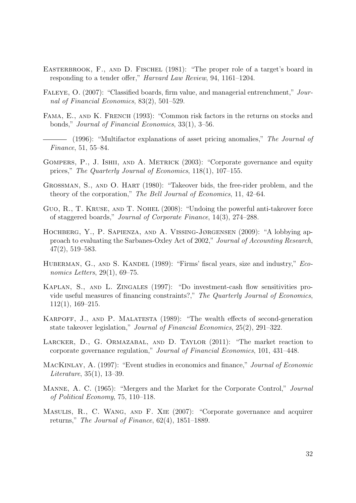- <span id="page-33-2"></span>EASTERBROOK, F., AND D. FISCHEL (1981): "The proper role of a target's board in responding to a tender offer," Harvard Law Review, 94, 1161–1204.
- <span id="page-33-5"></span>FALEYE, O. (2007): "Classified boards, firm value, and managerial entrenchment," Journal of Financial Economics, 83(2), 501–529.
- <span id="page-33-11"></span>FAMA, E., AND K. FRENCH (1993): "Common risk factors in the returns on stocks and bonds," Journal of Financial Economics, 33(1), 3–56.
- <span id="page-33-12"></span> $-$  (1996): "Multifactor explanations of asset pricing anomalies," The Journal of Finance, 51, 55–84.
- <span id="page-33-0"></span>GOMPERS, P., J. ISHII, AND A. METRICK (2003): "Corporate governance and equity prices," The Quarterly Journal of Economics, 118(1), 107–155.
- <span id="page-33-3"></span>Grossman, S., and O. Hart (1980): "Takeover bids, the free-rider problem, and the theory of the corporation," The Bell Journal of Economics, 11, 42–64.
- <span id="page-33-7"></span>GUO, R., T. KRUSE, AND T. NOHEL (2008): "Undoing the powerful anti-takeover force of staggered boards," Journal of Corporate Finance, 14(3), 274–288.
- <span id="page-33-9"></span>HOCHBERG, Y., P. SAPIENZA, AND A. VISSING-JØRGENSEN (2009): "A lobbying approach to evaluating the Sarbanes-Oxley Act of 2002," Journal of Accounting Research, 47(2), 519–583.
- <span id="page-33-13"></span>HUBERMAN, G., AND S. KANDEL (1989): "Firms' fiscal years, size and industry," Economics Letters, 29(1), 69–75.
- <span id="page-33-14"></span>KAPLAN, S., AND L. ZINGALES (1997): "Do investment-cash flow sensitivities provide useful measures of financing constraints?," The Quarterly Journal of Economics, 112(1), 169–215.
- <span id="page-33-6"></span>KARPOFF, J., AND P. MALATESTA (1989): "The wealth effects of second-generation state takeover legislation," Journal of Financial Economics, 25(2), 291–322.
- <span id="page-33-10"></span>LARCKER, D., G. ORMAZABAL, AND D. TAYLOR (2011): "The market reaction to corporate governance regulation," Journal of Financial Economics, 101, 431–448.
- <span id="page-33-8"></span>MACKINLAY, A. (1997): "Event studies in economics and finance," *Journal of Economic* Literature, 35(1), 13–39.
- <span id="page-33-1"></span>Manne, A. C. (1965): "Mergers and the Market for the Corporate Control," Journal of Political Economy, 75, 110–118.
- <span id="page-33-4"></span>MASULIS, R., C. WANG, AND F. XIE (2007): "Corporate governance and acquirer returns," The Journal of Finance,  $62(4)$ ,  $1851-1889$ .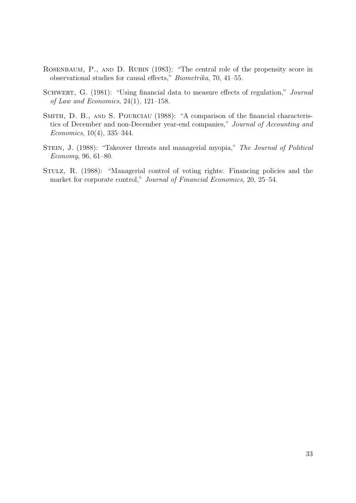- <span id="page-34-4"></span>ROSENBAUM, P., AND D. RUBIN (1983): "The central role of the propensity score in observational studies for causal effects," Biometrika, 70, 41–55.
- <span id="page-34-2"></span>SCHWERT, G. (1981): "Using financial data to measure effects of regulation," Journal of Law and Economics,  $24(1)$ ,  $121-158$ .
- <span id="page-34-3"></span>SMITH, D. B., AND S. POURCIAU (1988): "A comparison of the financial characteristics of December and non-December year-end companies," Journal of Accounting and Economics, 10(4), 335–344.
- <span id="page-34-0"></span>STEIN, J. (1988): "Takeover threats and managerial myopia," The Journal of Political Economy, 96, 61–80.
- <span id="page-34-1"></span>Stulz, R. (1988): "Managerial control of voting rights: Financing policies and the market for corporate control," Journal of Financial Economics, 20, 25–54.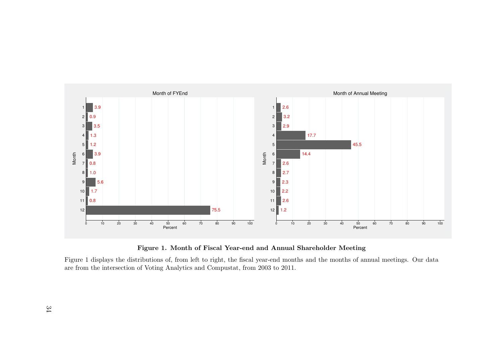<span id="page-35-0"></span>



Figure 1 displays the distributions of, from left to right, the fiscal year-end months and the months of annual meetings. Our dataare from the intersection of Voting Analytics and Compustat, from 2003 to 2011.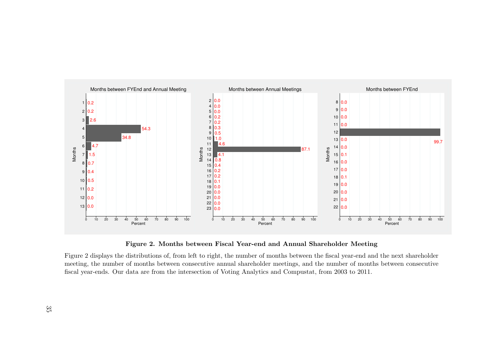<span id="page-36-0"></span>

Figure 2. Months between Fiscal Year-end and Annual Shareholder Meeting

Figure 2 displays the distributions of, from left to right, the number of months between the fiscal year-end and the next shareholder meeting, the number of months between consecutive annual shareholder meetings, and the number of months between consecutivefiscal year-ends. Our data are from the intersection of Voting Analytics and Compustat, from 2003 to 2011.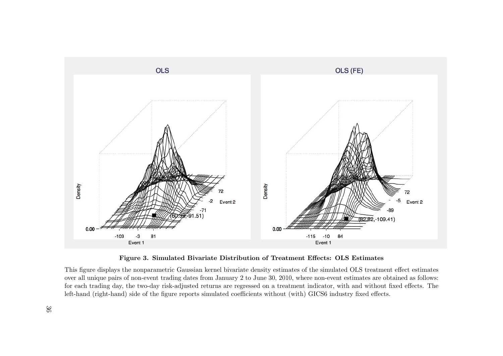<span id="page-37-0"></span>

Figure 3. Simulated Bivariate Distribution of Treatment Effects: OLS Estimates

This figure displays the nonparametric Gaussian kernel bivariate density estimates of the simulated OLS treatment effect estimates over all unique pairs of non-event trading dates from January 2 to June 30, 2010, where non-event estimates are obtained as follows:for each trading day, the two-day risk-adjusted returns are regressed on <sup>a</sup> treatment indicator, with and without fixed effects. Theleft-hand (right-hand) side of the figure reports simulated coefficients without (with) GICS6 industry fixed effects.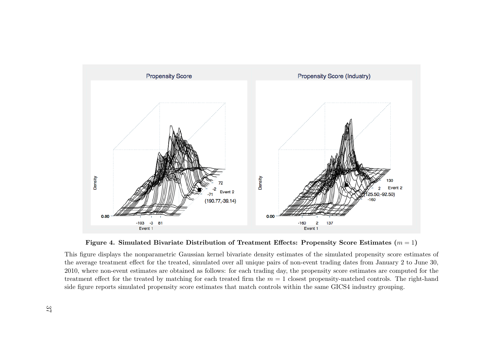

Figure 4. Simulated Bivariate Distribution of Treatment Effects: Propensity Score Estimates  $(m = 1)$ 

<span id="page-38-0"></span>This figure displays the nonparametric Gaussian kernel bivariate density estimates of the simulated propensity score estimates ofthe average treatment effect for the treated, simulated over all unique pairs of non-event trading dates from January 2 to June 30,2010, where non-event estimates are obtained as follows: for each trading day, the propensity score estimates are computed for thetreatment effect for the treated by matching for each treated firm the  $m = 1$  closest propensity-matched controls. The right-hand side figure reports simulated propensity score estimates that match controls within the same GICS4 industry grouping.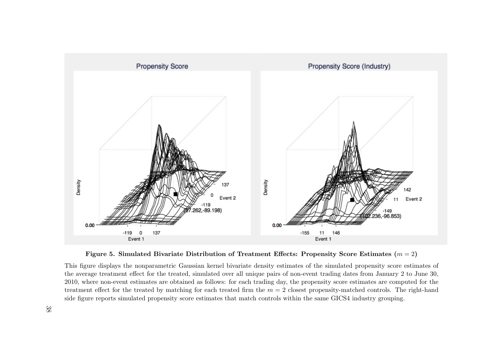

Figure 5. Simulated Bivariate Distribution of Treatment Effects: Propensity Score Estimates  $(m = 2)$ 

<span id="page-39-0"></span>This figure displays the nonparametric Gaussian kernel bivariate density estimates of the simulated propensity score estimates ofthe average treatment effect for the treated, simulated over all unique pairs of non-event trading dates from January 2 to June 30,2010, where non-event estimates are obtained as follows: for each trading day, the propensity score estimates are computed for thetreatment effect for the treated by matching for each treated firm the  $m = 2$  closest propensity-matched controls. The right-hand side figure reports simulated propensity score estimates that match controls within the same GICS4 industry grouping.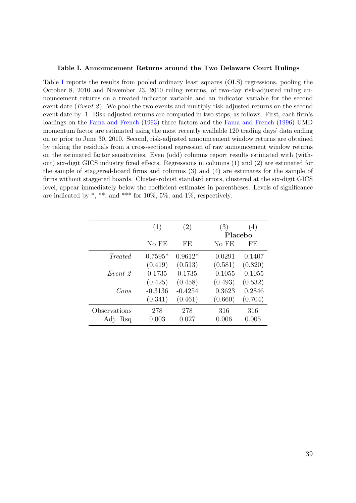#### <span id="page-40-0"></span>Table I. Announcement Returns around the Two Delaware Court Rulings

Table [I](#page-40-0) reports the results from pooled ordinary least squares (OLS) regressions, pooling the October 8, 2010 and November 23, 2010 ruling returns, of two-day risk-adjusted ruling announcement returns on a treated indicator variable and an indicator variable for the second event date (*Event 2*). We pool the two events and multiply risk-adjusted returns on the second event date by -1. Risk-adjusted returns are computed in two steps, as follows. First, each firm's loadings on the [Fama and French](#page-33-11) [\(1993\)](#page-33-11) three factors and the [Fama and French](#page-33-12) [\(1996\)](#page-33-12) UMD momentum factor are estimated using the most recently available 120 trading days' data ending on or prior to June 30, 2010. Second, risk-adjusted announcement window returns are obtained by taking the residuals from a cross-sectional regression of raw announcement window returns on the estimated factor sensitivities. Even (odd) columns report results estimated with (without) six-digit GICS industry fixed effects. Regressions in columns (1) and (2) are estimated for the sample of staggered-board firms and columns (3) and (4) are estimates for the sample of firms without staggered boards. Cluster-robust standard errors, clustered at the six-digit GICS level, appear immediately below the coefficient estimates in parentheses. Levels of significance are indicated by  $\ast$ ,  $\ast\ast$ , and  $\ast\ast\ast$  for 10%, 5%, and 1%, respectively.

|                | (1)       | (2)       | (3)       | (4)       |
|----------------|-----------|-----------|-----------|-----------|
|                |           |           |           | Placebo   |
|                | No FE     | FE        | No FE     | FE.       |
| <i>Treated</i> | $0.7595*$ | $0.9612*$ | 0.0291    | 0.1407    |
|                | (0.419)   | (0.513)   | (0.581)   | (0.820)   |
| Event 2        | 0.1735    | 0.1735    | $-0.1055$ | $-0.1055$ |
|                | (0.425)   | (0.458)   | (0.493)   | (0.532)   |
| Cons           | $-0.3136$ | $-0.4254$ | 0.3623    | 0.2846    |
|                | (0.341)   | (0.461)   | (0.660)   | (0.704)   |
| Observations   | 278       | 278       | 316       | 316       |
| Adj. Rsq       | 0.003     | 0.027     | 0.006     | 0.005     |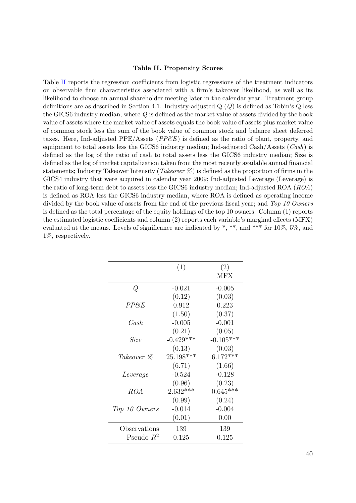#### Table II. Propensity Scores

<span id="page-41-0"></span>Table [II](#page-41-0) reports the regression coefficients from logistic regressions of the treatment indicators on observable firm characteristics associated with a firm's takeover likelihood, as well as its likelihood to choose an annual shareholder meeting later in the calendar year. Treatment group definitions are as described in Section 4.1. Industry-adjusted  $Q(Q)$  is defined as Tobin's  $Q$  less the GICS6 industry median, where Q is defined as the market value of assets divided by the book value of assets where the market value of assets equals the book value of assets plus market value of common stock less the sum of the book value of common stock and balance sheet deferred taxes. Here, Ind-adjusted PPE/Assets ( $PP\&E$ ) is defined as the ratio of plant, property, and equipment to total assets less the GICS6 industry median; Ind-adjusted Cash/Assets  $(Cash)$  is defined as the log of the ratio of cash to total assets less the GICS6 industry median; Size is defined as the log of market capitalization taken from the most recently available annual financial statements; Industry Takeover Intensity (*Takeover*  $\%$ ) is defined as the proportion of firms in the GICS4 industry that were acquired in calendar year 2009; Ind-adjusted Leverage (Leverage) is the ratio of long-term debt to assets less the GICS6 industry median; Ind-adjusted ROA (ROA) is defined as ROA less the GICS6 industry median, where ROA is defined as operating income divided by the book value of assets from the end of the previous fiscal year; and Top 10 Owners is defined as the total percentage of the equity holdings of the top 10 owners. Column (1) reports the estimated logistic coefficients and column (2) reports each variable's marginal effects (MFX) evaluated at the means. Levels of significance are indicated by \*, \*\*, and \*\*\* for 10%, 5%, and 1%, respectively.

|                 | (1)         | (2)         |
|-----------------|-------------|-------------|
|                 |             | MFX         |
| Q               | $-0.021$    | $-0.005$    |
|                 | (0.12)      | (0.03)      |
| <i>PP&amp;E</i> | 0.912       | 0.223       |
|                 | (1.50)      | (0.37)      |
| Cash            | $-0.005$    | $-0.001$    |
|                 | (0.21)      | (0.05)      |
| Size            | $-0.429***$ | $-0.105***$ |
|                 | (0.13)      | (0.03)      |
| Takeover %      | 25.198***   | $6.172***$  |
|                 | (6.71)      | (1.66)      |
| Leverage        | $-0.524$    | $-0.128$    |
|                 | (0.96)      | (0.23)      |
| ROA             | $2.632***$  | $0.645***$  |
|                 | (0.99)      | (0.24)      |
| Top 10 Owners   | $-0.014$    | $-0.004$    |
|                 | (0.01)      | 0.00        |
| Observations    | 139         | 139         |
| Pseudo $R^2$    | $0.125\,$   | 0.125       |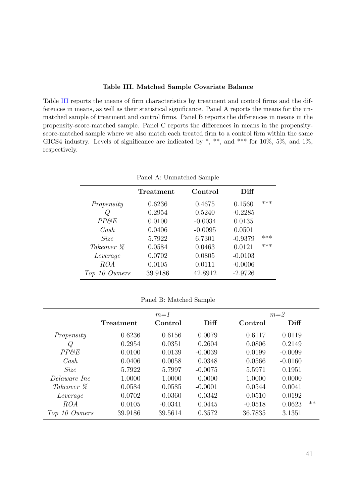#### Table III. Matched Sample Covariate Balance

<span id="page-42-0"></span>Table [III](#page-42-0) reports the means of firm characteristics by treatment and control firms and the differences in means, as well as their statistical significance. Panel A reports the means for the unmatched sample of treatment and control firms. Panel B reports the differences in means in the propensity-score-matched sample. Panel C reports the differences in means in the propensityscore-matched sample where we also match each treated firm to a control firm within the same GICS4 industry. Levels of significance are indicated by  $\ast$ ,  $\ast\ast$ , and  $\ast\ast\ast$  for 10%, 5%, and 1%, respectively.

|               | Treatment | Control   | Diff      |     |
|---------------|-----------|-----------|-----------|-----|
| Propensity    | 0.6236    | 0.4675    | 0.1560    | *** |
| O             | 0.2954    | 0.5240    | $-0.2285$ |     |
| PPEE          | 0.0100    | $-0.0034$ | 0.0135    |     |
| Cash          | 0.0406    | $-0.0095$ | 0.0501    |     |
| Size          | 5.7922    | 6.7301    | $-0.9379$ | *** |
| Takeover %    | 0.0584    | 0.0463    | 0.0121    | *** |
| Leverage      | 0.0702    | 0.0805    | $-0.0103$ |     |
| ROA           | 0.0105    | 0.0111    | $-0.0006$ |     |
| Top 10 Owners | 39.9186   | 42.8912   | $-2.9726$ |     |

Panel A: Unmatched Sample

|  |  | Panel B: Matched Sample |  |
|--|--|-------------------------|--|
|--|--|-------------------------|--|

|               |           | $m=1$     |           | $m=2$     |           |       |  |
|---------------|-----------|-----------|-----------|-----------|-----------|-------|--|
|               | Treatment | Control   | Diff      | Control   | Diff      |       |  |
| Propensity    | 0.6236    | 0.6156    | 0.0079    | 0.6117    | 0.0119    |       |  |
| Q             | 0.2954    | 0.0351    | 0.2604    | 0.0806    | 0.2149    |       |  |
| PPESE         | 0.0100    | 0.0139    | $-0.0039$ | 0.0199    | $-0.0099$ |       |  |
| Cash          | 0.0406    | 0.0058    | 0.0348    | 0.0566    | $-0.0160$ |       |  |
| Size          | 5.7922    | 5.7997    | $-0.0075$ | 5.5971    | 0.1951    |       |  |
| Delaware Inc  | 1.0000    | 1.0000    | 0.0000    | 1.0000    | 0.0000    |       |  |
| Takeover %    | 0.0584    | 0.0585    | $-0.0001$ | 0.0544    | 0.0041    |       |  |
| Leverage      | 0.0702    | 0.0360    | 0.0342    | 0.0510    | 0.0192    |       |  |
| ROA           | 0.0105    | $-0.0341$ | 0.0445    | $-0.0518$ | 0.0623    | $***$ |  |
| Top 10 Owners | 39.9186   | 39.5614   | 0.3572    | 36.7835   | 3.1351    |       |  |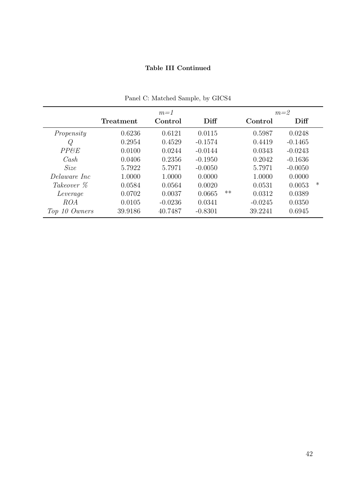## Table III Continued

|               |           | $m=1$     |           | $m=2$           |                  |
|---------------|-----------|-----------|-----------|-----------------|------------------|
|               | Treatment | Control   | Diff      | Control         | Diff             |
| Propensity    | 0.6236    | 0.6121    | 0.0115    | 0.5987          | 0.0248           |
| Q             | 0.2954    | 0.4529    | $-0.1574$ | 0.4419          | $-0.1465$        |
| PPESE         | 0.0100    | 0.0244    | $-0.0144$ | 0.0343          | $-0.0243$        |
| Cash          | 0.0406    | 0.2356    | $-0.1950$ | 0.2042          | $-0.1636$        |
| <i>Size</i>   | 5.7922    | 5.7971    | $-0.0050$ | 5.7971          | $-0.0050$        |
| Delaware Inc  | 1.0000    | 1.0000    | 0.0000    | 1.0000          | 0.0000           |
| Takeover %    | 0.0584    | 0.0564    | 0.0020    | 0.0531          | $\ast$<br>0.0053 |
| Leverage      | 0.0702    | 0.0037    | 0.0665    | $***$<br>0.0312 | 0.0389           |
| ROA           | 0.0105    | $-0.0236$ | 0.0341    | $-0.0245$       | 0.0350           |
| Top 10 Owners | 39.9186   | 40.7487   | $-0.8301$ | 39.2241         | 0.6945           |

Panel C: Matched Sample, by GICS4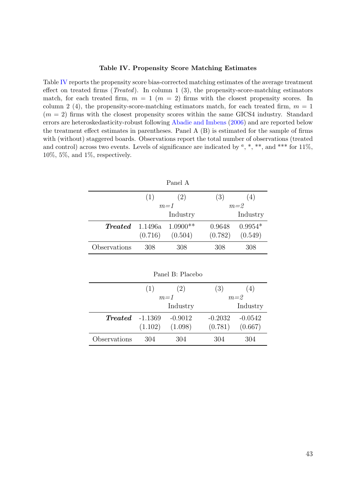#### Table IV. Propensity Score Matching Estimates

<span id="page-44-0"></span>Table [IV](#page-44-0) reports the propensity score bias-corrected matching estimates of the average treatment effect on treated firms (*Treated*). In column 1 (3), the propensity-score-matching estimators match, for each treated firm,  $m = 1$  ( $m = 2$ ) firms with the closest propensity scores. In column 2 (4), the propensity-score-matching estimators match, for each treated firm,  $m = 1$  $(m = 2)$  firms with the closest propensity scores within the same GICS4 industry. Standard errors are heteroskedasticity-robust following [Abadie and Imbens](#page-32-13) [\(2006\)](#page-32-13) and are reported below the treatment effect estimates in parentheses. Panel A (B) is estimated for the sample of firms with (without) staggered boards. Observations report the total number of observations (treated and control) across two events. Levels of significance are indicated by  $a, *, **$ , and \*\*\* for 11%, 10%, 5%, and 1%, respectively.

| Panel A      |         |                                 |         |           |  |
|--------------|---------|---------------------------------|---------|-----------|--|
|              | (1)     | (2)                             | (3)     | (4)       |  |
|              |         | $m=1$                           |         | $m=2$     |  |
|              |         | Industry                        |         | Industry  |  |
|              |         | <b>Treated</b> 1.1496a 1.0900** | 0.9648  | $0.9954*$ |  |
|              | (0.716) | (0.504)                         | (0.782) | (0.549)   |  |
| Observations | 308     | 308                             | 308     | 308       |  |

 $(1)$   $(2)$   $(3)$   $(4)$  $m=1$   $m=2$ Industry Industry Treated -1.1369 -0.9012 -0.2032 -0.0542  $(1.102)$   $(1.098)$   $(0.781)$   $(0.667)$ Observations 304 304 304 304